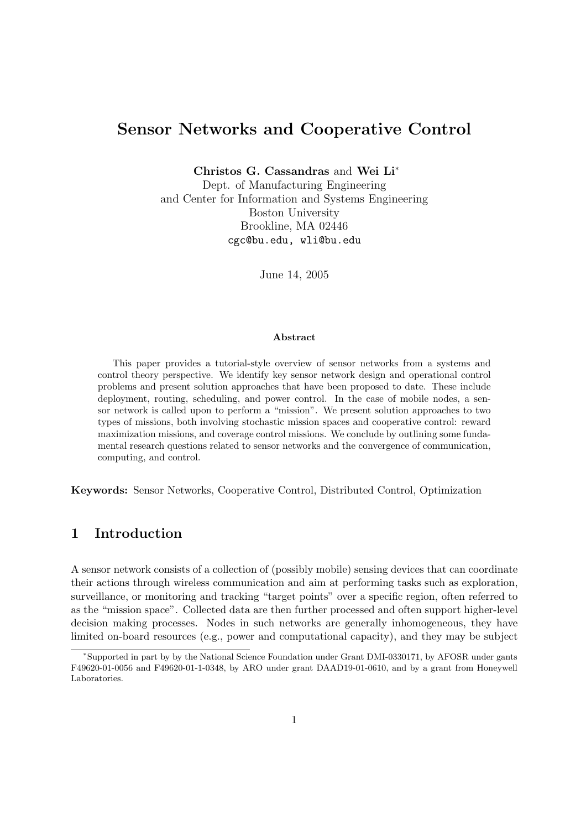# **Sensor Networks and Cooperative Control**

**Christos G. Cassandras** and **Wei Li**<sup>∗</sup>

Dept. of Manufacturing Engineering and Center for Information and Systems Engineering Boston University Brookline, MA 02446 cgc@bu.edu, wli@bu.edu

June 14, 2005

#### **Abstract**

This paper provides a tutorial-style overview of sensor networks from a systems and control theory perspective. We identify key sensor network design and operational control problems and present solution approaches that have been proposed to date. These include deployment, routing, scheduling, and power control. In the case of mobile nodes, a sensor network is called upon to perform a "mission". We present solution approaches to two types of missions, both involving stochastic mission spaces and cooperative control: reward maximization missions, and coverage control missions. We conclude by outlining some fundamental research questions related to sensor networks and the convergence of communication, computing, and control.

**Keywords:** Sensor Networks, Cooperative Control, Distributed Control, Optimization

## **1 Introduction**

A sensor network consists of a collection of (possibly mobile) sensing devices that can coordinate their actions through wireless communication and aim at performing tasks such as exploration, surveillance, or monitoring and tracking "target points" over a specific region, often referred to as the "mission space". Collected data are then further processed and often support higher-level decision making processes. Nodes in such networks are generally inhomogeneous, they have limited on-board resources (e.g., power and computational capacity), and they may be subject

<sup>∗</sup>Supported in part by by the National Science Foundation under Grant DMI-0330171, by AFOSR under gants F49620-01-0056 and F49620-01-1-0348, by ARO under grant DAAD19-01-0610, and by a grant from Honeywell Laboratories.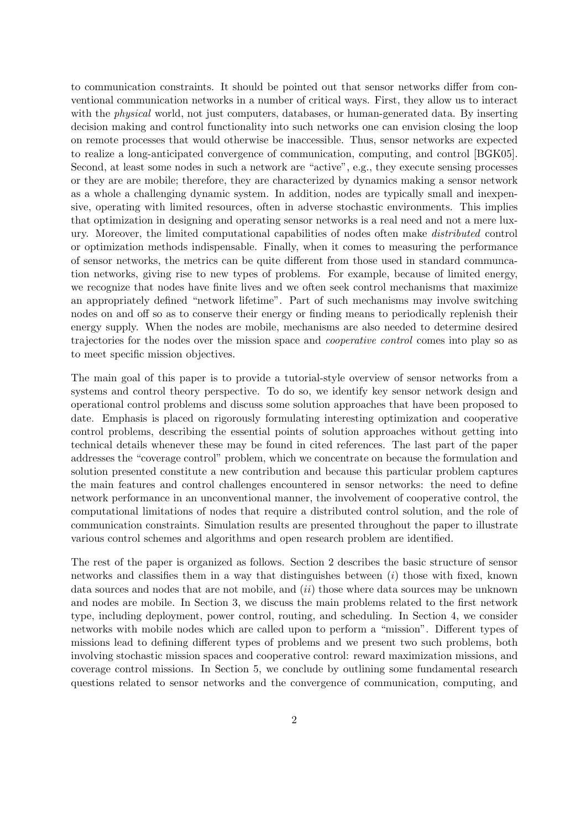to communication constraints. It should be pointed out that sensor networks differ from conventional communication networks in a number of critical ways. First, they allow us to interact with the *physical* world, not just computers, databases, or human-generated data. By inserting decision making and control functionality into such networks one can envision closing the loop on remote processes that would otherwise be inaccessible. Thus, sensor networks are expected to realize a long-anticipated convergence of communication, computing, and control [BGK05]. Second, at least some nodes in such a network are "active", e.g., they execute sensing processes or they are are mobile; therefore, they are characterized by dynamics making a sensor network as a whole a challenging dynamic system. In addition, nodes are typically small and inexpensive, operating with limited resources, often in adverse stochastic environments. This implies that optimization in designing and operating sensor networks is a real need and not a mere luxury. Moreover, the limited computational capabilities of nodes often make distributed control or optimization methods indispensable. Finally, when it comes to measuring the performance of sensor networks, the metrics can be quite different from those used in standard communcation networks, giving rise to new types of problems. For example, because of limited energy, we recognize that nodes have finite lives and we often seek control mechanisms that maximize an appropriately defined "network lifetime". Part of such mechanisms may involve switching nodes on and off so as to conserve their energy or finding means to periodically replenish their energy supply. When the nodes are mobile, mechanisms are also needed to determine desired trajectories for the nodes over the mission space and cooperative control comes into play so as to meet specific mission objectives.

The main goal of this paper is to provide a tutorial-style overview of sensor networks from a systems and control theory perspective. To do so, we identify key sensor network design and operational control problems and discuss some solution approaches that have been proposed to date. Emphasis is placed on rigorously formulating interesting optimization and cooperative control problems, describing the essential points of solution approaches without getting into technical details whenever these may be found in cited references. The last part of the paper addresses the "coverage control" problem, which we concentrate on because the formulation and solution presented constitute a new contribution and because this particular problem captures the main features and control challenges encountered in sensor networks: the need to define network performance in an unconventional manner, the involvement of cooperative control, the computational limitations of nodes that require a distributed control solution, and the role of communication constraints. Simulation results are presented throughout the paper to illustrate various control schemes and algorithms and open research problem are identified.

The rest of the paper is organized as follows. Section 2 describes the basic structure of sensor networks and classifies them in a way that distinguishes between  $(i)$  those with fixed, known data sources and nodes that are not mobile, and  $(ii)$  those where data sources may be unknown and nodes are mobile. In Section 3, we discuss the main problems related to the first network type, including deployment, power control, routing, and scheduling. In Section 4, we consider networks with mobile nodes which are called upon to perform a "mission". Different types of missions lead to defining different types of problems and we present two such problems, both involving stochastic mission spaces and cooperative control: reward maximization missions, and coverage control missions. In Section 5, we conclude by outlining some fundamental research questions related to sensor networks and the convergence of communication, computing, and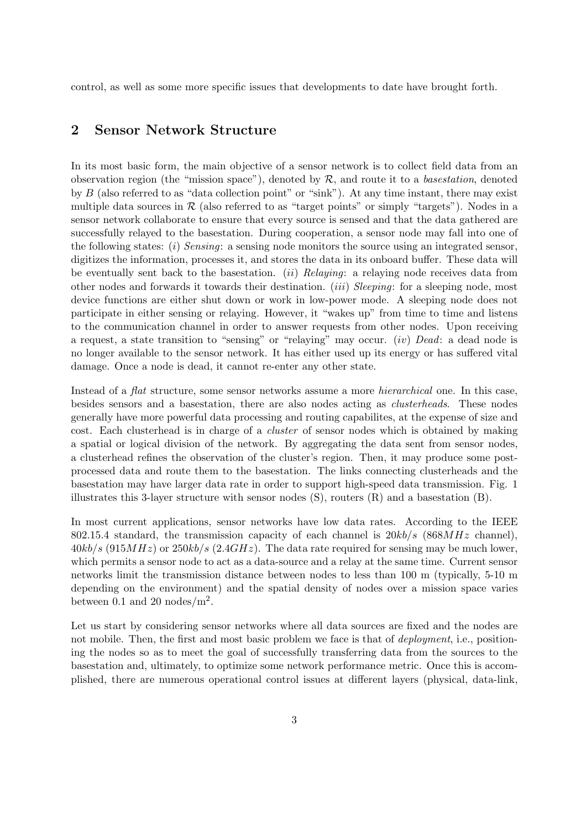control, as well as some more specific issues that developments to date have brought forth.

### **2 Sensor Network Structure**

In its most basic form, the main objective of a sensor network is to collect field data from an observation region (the "mission space"), denoted by  $R$ , and route it to a basestation, denoted by  $B$  (also referred to as "data collection point" or "sink"). At any time instant, there may exist multiple data sources in  $\mathcal R$  (also referred to as "target points" or simply "targets"). Nodes in a sensor network collaborate to ensure that every source is sensed and that the data gathered are successfully relayed to the basestation. During cooperation, a sensor node may fall into one of the following states: (i) Sensing: a sensing node monitors the source using an integrated sensor, digitizes the information, processes it, and stores the data in its onboard buffer. These data will be eventually sent back to the basestation. *(ii) Relaying*: a relaying node receives data from other nodes and forwards it towards their destination. *(iii) Sleeping*: for a sleeping node, most device functions are either shut down or work in low-power mode. A sleeping node does not participate in either sensing or relaying. However, it "wakes up" from time to time and listens to the communication channel in order to answer requests from other nodes. Upon receiving a request, a state transition to "sensing" or "relaying" may occur. (iv) Dead: a dead node is no longer available to the sensor network. It has either used up its energy or has suffered vital damage. Once a node is dead, it cannot re-enter any other state.

Instead of a flat structure, some sensor networks assume a more hierarchical one. In this case, besides sensors and a basestation, there are also nodes acting as clusterheads. These nodes generally have more powerful data processing and routing capabilites, at the expense of size and cost. Each clusterhead is in charge of a cluster of sensor nodes which is obtained by making a spatial or logical division of the network. By aggregating the data sent from sensor nodes, a clusterhead refines the observation of the cluster's region. Then, it may produce some postprocessed data and route them to the basestation. The links connecting clusterheads and the basestation may have larger data rate in order to support high-speed data transmission. Fig. 1 illustrates this 3-layer structure with sensor nodes  $(S)$ , routers  $(R)$  and a basestation  $(B)$ .

In most current applications, sensor networks have low data rates. According to the IEEE 802.15.4 standard, the transmission capacity of each channel is  $20kb/s$  (868MHz channel),  $40kb/s$  (915 $MHz$ ) or  $250kb/s$  (2.4 $GHz$ ). The data rate required for sensing may be much lower, which permits a sensor node to act as a data-source and a relay at the same time. Current sensor networks limit the transmission distance between nodes to less than 100 m (typically, 5-10 m depending on the environment) and the spatial density of nodes over a mission space varies between 0.1 and 20 nodes/ $m^2$ .

Let us start by considering sensor networks where all data sources are fixed and the nodes are not mobile. Then, the first and most basic problem we face is that of *deployment*, i.e., positioning the nodes so as to meet the goal of successfully transferring data from the sources to the basestation and, ultimately, to optimize some network performance metric. Once this is accomplished, there are numerous operational control issues at different layers (physical, data-link,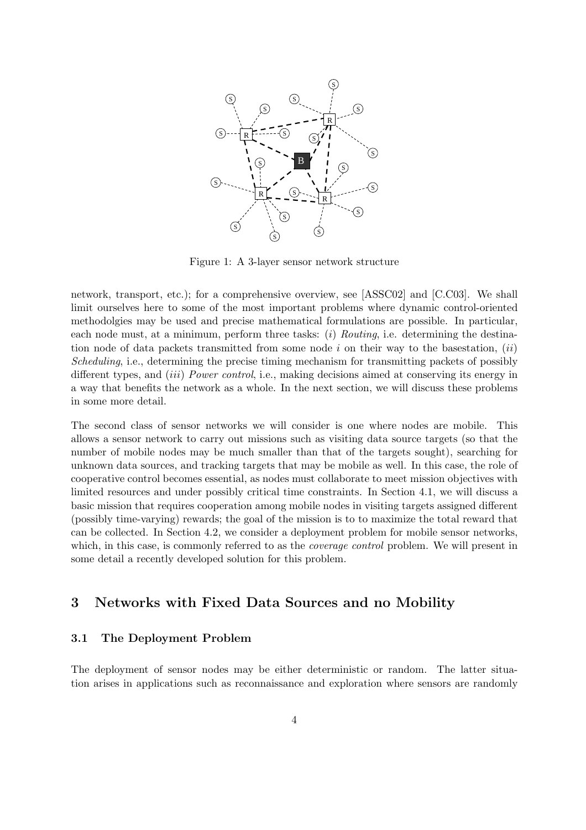

Figure 1: A 3-layer sensor network structure

network, transport, etc.); for a comprehensive overview, see [ASSC02] and [C.C03]. We shall limit ourselves here to some of the most important problems where dynamic control-oriented methodolgies may be used and precise mathematical formulations are possible. In particular, each node must, at a minimum, perform three tasks:  $(i)$  Routing, i.e. determining the destination node of data packets transmitted from some node i on their way to the basestation,  $(ii)$ Scheduling, i.e., determining the precise timing mechanism for transmitting packets of possibly different types, and *(iii) Power control*, i.e., making decisions aimed at conserving its energy in a way that benefits the network as a whole. In the next section, we will discuss these problems in some more detail.

The second class of sensor networks we will consider is one where nodes are mobile. This allows a sensor network to carry out missions such as visiting data source targets (so that the number of mobile nodes may be much smaller than that of the targets sought), searching for unknown data sources, and tracking targets that may be mobile as well. In this case, the role of cooperative control becomes essential, as nodes must collaborate to meet mission objectives with limited resources and under possibly critical time constraints. In Section 4.1, we will discuss a basic mission that requires cooperation among mobile nodes in visiting targets assigned different (possibly time-varying) rewards; the goal of the mission is to to maximize the total reward that can be collected. In Section 4.2, we consider a deployment problem for mobile sensor networks, which, in this case, is commonly referred to as the *coverage control* problem. We will present in some detail a recently developed solution for this problem.

## **3 Networks with Fixed Data Sources and no Mobility**

#### **3.1 The Deployment Problem**

The deployment of sensor nodes may be either deterministic or random. The latter situation arises in applications such as reconnaissance and exploration where sensors are randomly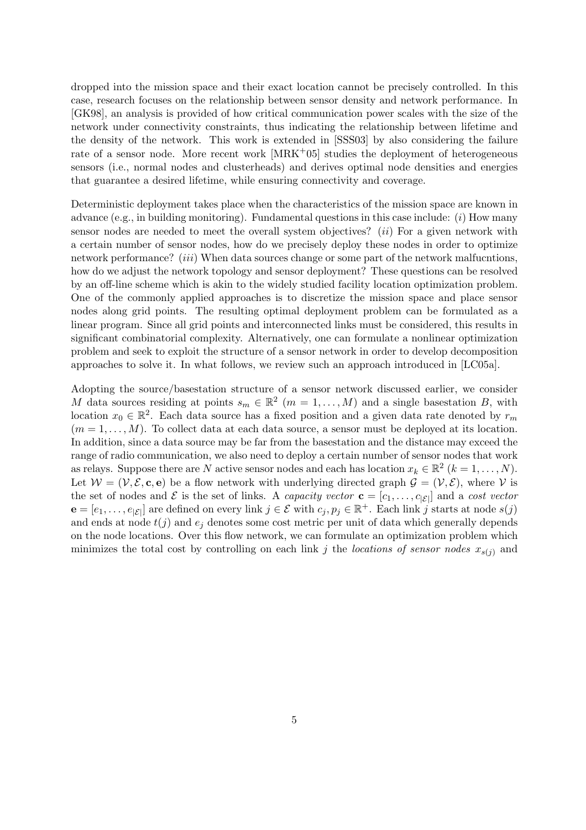dropped into the mission space and their exact location cannot be precisely controlled. In this case, research focuses on the relationship between sensor density and network performance. In [GK98], an analysis is provided of how critical communication power scales with the size of the network under connectivity constraints, thus indicating the relationship between lifetime and the density of the network. This work is extended in [SSS03] by also considering the failure rate of a sensor node. More recent work  $[MRK^+05]$  studies the deployment of heterogeneous sensors (i.e., normal nodes and clusterheads) and derives optimal node densities and energies that guarantee a desired lifetime, while ensuring connectivity and coverage.

Deterministic deployment takes place when the characteristics of the mission space are known in advance (e.g., in building monitoring). Fundamental questions in this case include: (i) How many sensor nodes are needed to meet the overall system objectives? (ii) For a given network with a certain number of sensor nodes, how do we precisely deploy these nodes in order to optimize network performance? *(iii)* When data sources change or some part of the network malfucntions, how do we adjust the network topology and sensor deployment? These questions can be resolved by an off-line scheme which is akin to the widely studied facility location optimization problem. One of the commonly applied approaches is to discretize the mission space and place sensor nodes along grid points. The resulting optimal deployment problem can be formulated as a linear program. Since all grid points and interconnected links must be considered, this results in significant combinatorial complexity. Alternatively, one can formulate a nonlinear optimization problem and seek to exploit the structure of a sensor network in order to develop decomposition approaches to solve it. In what follows, we review such an approach introduced in [LC05a].

Adopting the source/basestation structure of a sensor network discussed earlier, we consider M data sources residing at points  $s_m \in \mathbb{R}^2$   $(m = 1, \ldots, M)$  and a single basestation B, with location  $x_0 \in \mathbb{R}^2$ . Each data source has a fixed position and a given data rate denoted by  $r_m$  $(m = 1, \ldots, M)$ . To collect data at each data source, a sensor must be deployed at its location. In addition, since a data source may be far from the basestation and the distance may exceed the range of radio communication, we also need to deploy a certain number of sensor nodes that work as relays. Suppose there are N active sensor nodes and each has location  $x_k \in \mathbb{R}^2$   $(k = 1, ..., N)$ . Let  $W = (\mathcal{V}, \mathcal{E}, \mathbf{c}, \mathbf{e})$  be a flow network with underlying directed graph  $\mathcal{G} = (\mathcal{V}, \mathcal{E})$ , where  $\mathcal{V}$  is the set of nodes and  $\mathcal E$  is the set of links. A *capacity vector*  $\mathbf c = [c_1,\ldots,c_{|\mathcal E|}]$  and a *cost vector* **e** =  $[e_1, \ldots, e_{|\mathcal{E}|}]$  are defined on every link  $j \in \mathcal{E}$  with  $c_j, p_j \in \mathbb{R}^+$ . Each link j starts at node  $s(j)$ and ends at node  $t(j)$  and  $e_j$  denotes some cost metric per unit of data which generally depends on the node locations. Over this flow network, we can formulate an optimization problem which minimizes the total cost by controlling on each link j the *locations of sensor nodes*  $x_{s(j)}$  and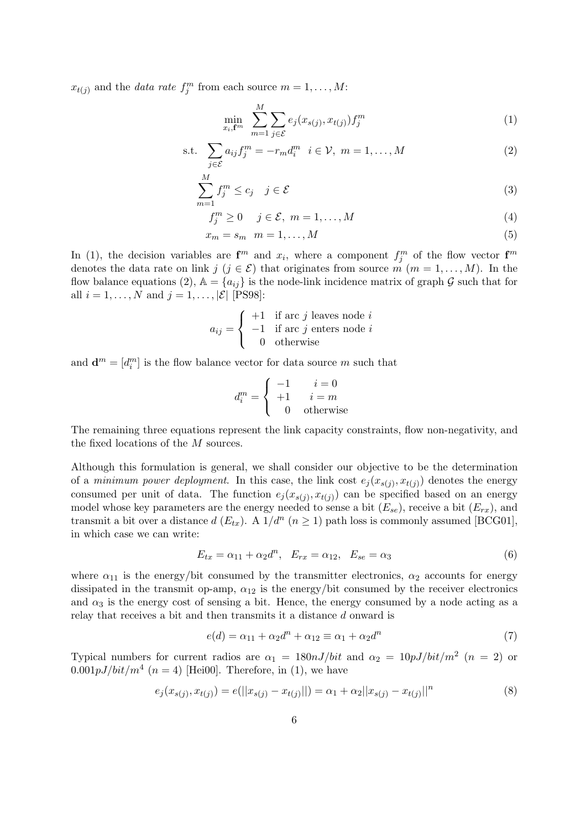$x_{t(j)}$  and the *data rate*  $f_j^m$  from each source  $m = 1, \ldots, M$ :

$$
\min_{x_i, \mathbf{f}^m} \sum_{m=1}^M \sum_{j \in \mathcal{E}} e_j(x_{s(j)}, x_{t(j)}) f_j^m \tag{1}
$$

$$
\text{s.t.} \quad \sum_{j \in \mathcal{E}} a_{ij} f_j^m = -r_m d_i^m \quad i \in \mathcal{V}, \ m = 1, \dots, M \tag{2}
$$

$$
\sum_{m=1}^{M} f_j^m \le c_j \quad j \in \mathcal{E}
$$
\n(3)

$$
f_j^m \ge 0 \quad j \in \mathcal{E}, \ m = 1, \dots, M \tag{4}
$$

$$
x_m = s_m \quad m = 1, \dots, M \tag{5}
$$

In (1), the decision variables are  $f^m$  and  $x_i$ , where a component  $f^m_i$  of the flow vector  $f^m$ denotes the data rate on link j  $(j \in \mathcal{E})$  that originates from source  $m$   $(m = 1, \ldots, M)$ . In the flow balance equations (2),  $\mathbb{A} = \{a_{ij}\}\$ is the node-link incidence matrix of graph  $\mathcal G$  such that for all  $i = 1, ..., N$  and  $j = 1, ..., |\mathcal{E}|$  [PS98]:

$$
a_{ij} = \begin{cases} +1 & \text{if arc } j \text{ leaves node } i \\ -1 & \text{if arc } j \text{ enters node } i \\ 0 & \text{otherwise} \end{cases}
$$

and  $\mathbf{d}^m = [d_i^m]$  is the flow balance vector for data source m such that

$$
d_i^m = \begin{cases} -1 & i = 0\\ +1 & i = m\\ 0 & \text{otherwise} \end{cases}
$$

The remaining three equations represent the link capacity constraints, flow non-negativity, and the fixed locations of the M sources.

Although this formulation is general, we shall consider our objective to be the determination of a *minimum power deployment*. In this case, the link cost  $e_j(x_{s(j)}, x_{t(j)})$  denotes the energy consumed per unit of data. The function  $e_j(x_{s(j)}, x_{t(j)})$  can be specified based on an energy model whose key parameters are the energy needed to sense a bit  $(E_{se})$ , receive a bit  $(E_{rx})$ , and transmit a bit over a distance  $d(E_{tx})$ . A  $1/d^n$   $(n \ge 1)$  path loss is commonly assumed [BCG01], in which case we can write:

$$
E_{tx} = \alpha_{11} + \alpha_2 d^n, \quad E_{rx} = \alpha_{12}, \quad E_{se} = \alpha_3 \tag{6}
$$

where  $\alpha_{11}$  is the energy/bit consumed by the transmitter electronics,  $\alpha_2$  accounts for energy dissipated in the transmit op-amp,  $\alpha_{12}$  is the energy/bit consumed by the receiver electronics and  $\alpha_3$  is the energy cost of sensing a bit. Hence, the energy consumed by a node acting as a relay that receives a bit and then transmits it a distance d onward is

$$
e(d) = \alpha_{11} + \alpha_2 d^n + \alpha_{12} \equiv \alpha_1 + \alpha_2 d^n \tag{7}
$$

Typical numbers for current radios are  $\alpha_1 = 180nJ/bit$  and  $\alpha_2 = 10pJ/bit/m^2$  ( $n = 2$ ) or  $0.001 pJ/bit/m<sup>4</sup>$   $(n = 4)$  [Hei00]. Therefore, in (1), we have

$$
e_j(x_{s(j)}, x_{t(j)}) = e(||x_{s(j)} - x_{t(j)}||) = \alpha_1 + \alpha_2 ||x_{s(j)} - x_{t(j)}||^n
$$
\n(8)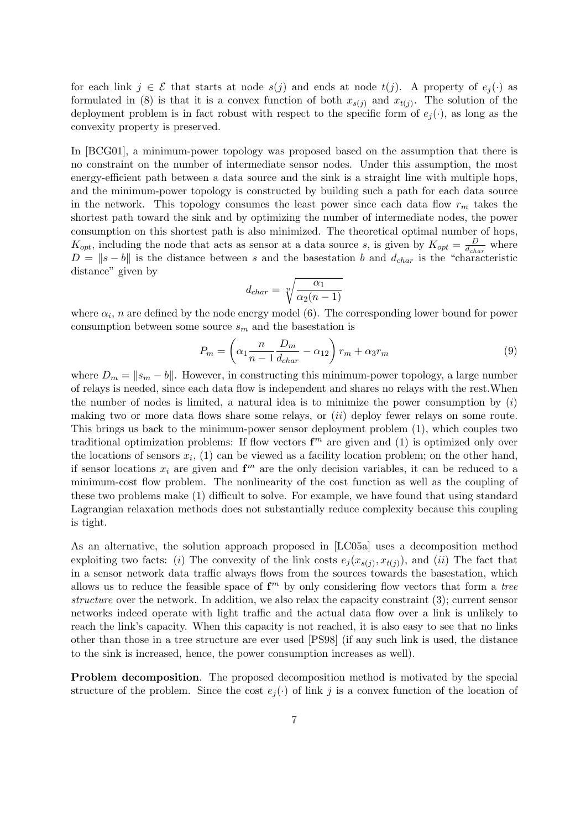for each link  $j \in \mathcal{E}$  that starts at node  $s(j)$  and ends at node  $t(j)$ . A property of  $e_j(\cdot)$  as formulated in (8) is that it is a convex function of both  $x_{s(i)}$  and  $x_{t(i)}$ . The solution of the deployment problem is in fact robust with respect to the specific form of  $e_j(\cdot)$ , as long as the convexity property is preserved.

In [BCG01], a minimum-power topology was proposed based on the assumption that there is no constraint on the number of intermediate sensor nodes. Under this assumption, the most energy-efficient path between a data source and the sink is a straight line with multiple hops, and the minimum-power topology is constructed by building such a path for each data source in the network. This topology consumes the least power since each data flow  $r_m$  takes the shortest path toward the sink and by optimizing the number of intermediate nodes, the power consumption on this shortest path is also minimized. The theoretical optimal number of hops,  $K_{opt}$ , including the node that acts as sensor at a data source s, is given by  $K_{opt} = \frac{D}{d_{char}}$  where  $D = ||s - b||$  is the distance between s and the basestation b and  $d_{char}$  is the "characteristic distance" given by

$$
d_{char} = \sqrt[n]{\frac{\alpha_1}{\alpha_2(n-1)}}
$$

where  $\alpha_i$ , *n* are defined by the node energy model (6). The corresponding lower bound for power consumption between some source  $s_m$  and the basestation is

$$
P_m = \left(\alpha_1 \frac{n}{n-1} \frac{D_m}{d_{char}} - \alpha_{12}\right) r_m + \alpha_3 r_m \tag{9}
$$

where  $D_m = ||s_m - b||$ . However, in constructing this minimum-power topology, a large number of relays is needed, since each data flow is independent and shares no relays with the rest.When the number of nodes is limited, a natural idea is to minimize the power consumption by  $(i)$ making two or more data flows share some relays, or  $(ii)$  deploy fewer relays on some route. This brings us back to the minimum-power sensor deployment problem (1), which couples two traditional optimization problems: If flow vectors  $f<sup>m</sup>$  are given and (1) is optimized only over the locations of sensors  $x_i$ , (1) can be viewed as a facility location problem; on the other hand, if sensor locations  $x_i$  are given and  $f^m$  are the only decision variables, it can be reduced to a minimum-cost flow problem. The nonlinearity of the cost function as well as the coupling of these two problems make (1) difficult to solve. For example, we have found that using standard Lagrangian relaxation methods does not substantially reduce complexity because this coupling is tight.

As an alternative, the solution approach proposed in [LC05a] uses a decomposition method exploiting two facts: (i) The convexity of the link costs  $e_j(x_{s(j)}, x_{t(j)})$ , and (ii) The fact that in a sensor network data traffic always flows from the sources towards the basestation, which allows us to reduce the feasible space of  $f<sup>m</sup>$  by only considering flow vectors that form a tree structure over the network. In addition, we also relax the capacity constraint (3); current sensor networks indeed operate with light traffic and the actual data flow over a link is unlikely to reach the link's capacity. When this capacity is not reached, it is also easy to see that no links other than those in a tree structure are ever used [PS98] (if any such link is used, the distance to the sink is increased, hence, the power consumption increases as well).

**Problem decomposition**. The proposed decomposition method is motivated by the special structure of the problem. Since the cost  $e_i(\cdot)$  of link j is a convex function of the location of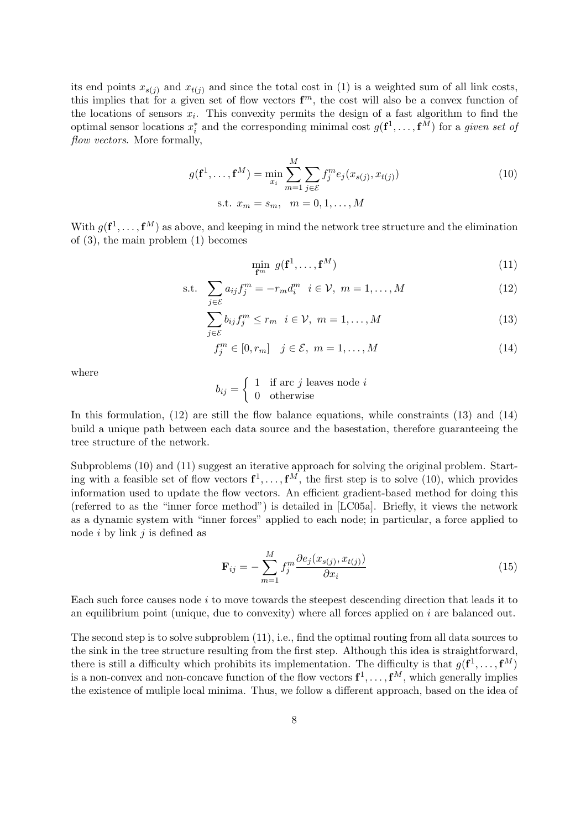its end points  $x_{s(j)}$  and  $x_{t(j)}$  and since the total cost in (1) is a weighted sum of all link costs, this implies that for a given set of flow vectors **f***m*, the cost will also be a convex function of the locations of sensors  $x_i$ . This convexity permits the design of a fast algorithm to find the optimal sensor locations  $x_i^*$  and the corresponding minimal cost  $g(\mathbf{f}^1,\ldots,\mathbf{f}^M)$  for a *given set of* flow vectors. More formally,

$$
g(\mathbf{f}^{1}, \dots, \mathbf{f}^{M}) = \min_{x_{i}} \sum_{m=1}^{M} \sum_{j \in \mathcal{E}} f_{j}^{m} e_{j}(x_{s(j)}, x_{t(j)})
$$
\n
$$
\text{s.t. } x_{m} = s_{m}, \quad m = 0, 1, \dots, M
$$
\n(10)

With  $g(\mathbf{f}^1,\ldots,\mathbf{f}^M)$  as above, and keeping in mind the network tree structure and the elimination of (3), the main problem (1) becomes

$$
\min_{\mathbf{f}^m} \ g(\mathbf{f}^1, \dots, \mathbf{f}^M) \tag{11}
$$

$$
\text{s.t.} \quad \sum_{j \in \mathcal{E}} a_{ij} f_j^m = -r_m d_i^m \quad i \in \mathcal{V}, \ m = 1, \dots, M \tag{12}
$$

$$
\sum_{j \in \mathcal{E}} b_{ij} f_j^m \le r_m \quad i \in \mathcal{V}, \ m = 1, \dots, M
$$
\n(13)

$$
f_j^m \in [0, r_m] \quad j \in \mathcal{E}, \ m = 1, \dots, M \tag{14}
$$

where

$$
b_{ij} = \begin{cases} 1 & \text{if arc } j \text{ leaves node } i \\ 0 & \text{otherwise} \end{cases}
$$

In this formulation, (12) are still the flow balance equations, while constraints (13) and (14) build a unique path between each data source and the basestation, therefore guaranteeing the tree structure of the network.

Subproblems (10) and (11) suggest an iterative approach for solving the original problem. Starting with a feasible set of flow vectors  $f^1, \ldots, f^M$ , the first step is to solve (10), which provides information used to update the flow vectors. An efficient gradient-based method for doing this (referred to as the "inner force method") is detailed in [LC05a]. Briefly, it views the network as a dynamic system with "inner forces" applied to each node; in particular, a force applied to node i by link  $j$  is defined as

$$
\mathbf{F}_{ij} = -\sum_{m=1}^{M} f_j^m \frac{\partial e_j(x_{s(j)}, x_{t(j)})}{\partial x_i} \tag{15}
$$

Each such force causes node i to move towards the steepest descending direction that leads it to an equilibrium point (unique, due to convexity) where all forces applied on  $i$  are balanced out.

The second step is to solve subproblem (11), i.e., find the optimal routing from all data sources to the sink in the tree structure resulting from the first step. Although this idea is straightforward, there is still a difficulty which prohibits its implementation. The difficulty is that  $g(\mathbf{f}^1,\ldots,\mathbf{f}^M)$ is a non-convex and non-concave function of the flow vectors  $f^1, \ldots, f^M$ , which generally implies the existence of muliple local minima. Thus, we follow a different approach, based on the idea of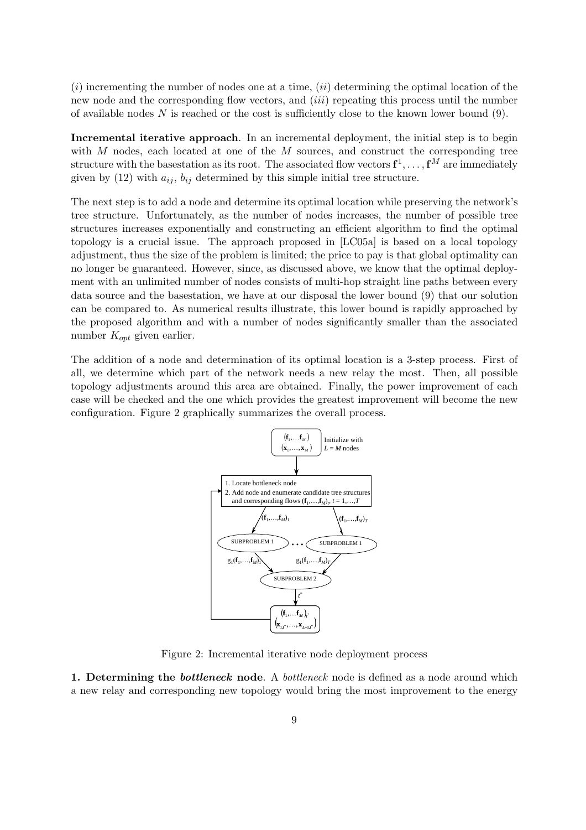$(i)$  incrementing the number of nodes one at a time,  $(ii)$  determining the optimal location of the new node and the corresponding flow vectors, and *(iii)* repeating this process until the number of available nodes  $N$  is reached or the cost is sufficiently close to the known lower bound  $(9)$ .

**Incremental iterative approach**. In an incremental deployment, the initial step is to begin with M nodes, each located at one of the M sources, and construct the corresponding tree structure with the basestation as its root. The associated flow vectors  $f^1, \ldots, f^M$  are immediately given by (12) with  $a_{ij}$ ,  $b_{ij}$  determined by this simple initial tree structure.

The next step is to add a node and determine its optimal location while preserving the network's tree structure. Unfortunately, as the number of nodes increases, the number of possible tree structures increases exponentially and constructing an efficient algorithm to find the optimal topology is a crucial issue. The approach proposed in [LC05a] is based on a local topology adjustment, thus the size of the problem is limited; the price to pay is that global optimality can no longer be guaranteed. However, since, as discussed above, we know that the optimal deployment with an unlimited number of nodes consists of multi-hop straight line paths between every data source and the basestation, we have at our disposal the lower bound (9) that our solution can be compared to. As numerical results illustrate, this lower bound is rapidly approached by the proposed algorithm and with a number of nodes significantly smaller than the associated number K*opt* given earlier.

The addition of a node and determination of its optimal location is a 3-step process. First of all, we determine which part of the network needs a new relay the most. Then, all possible topology adjustments around this area are obtained. Finally, the power improvement of each case will be checked and the one which provides the greatest improvement will become the new configuration. Figure 2 graphically summarizes the overall process.



Figure 2: Incremental iterative node deployment process

**1. Determining the** *bottleneck* **node**. A bottleneck node is defined as a node around which a new relay and corresponding new topology would bring the most improvement to the energy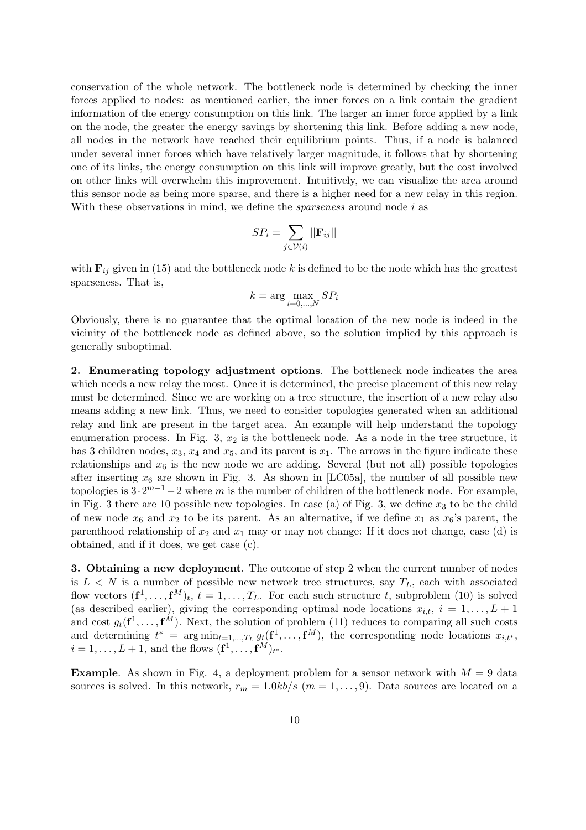conservation of the whole network. The bottleneck node is determined by checking the inner forces applied to nodes: as mentioned earlier, the inner forces on a link contain the gradient information of the energy consumption on this link. The larger an inner force applied by a link on the node, the greater the energy savings by shortening this link. Before adding a new node, all nodes in the network have reached their equilibrium points. Thus, if a node is balanced under several inner forces which have relatively larger magnitude, it follows that by shortening one of its links, the energy consumption on this link will improve greatly, but the cost involved on other links will overwhelm this improvement. Intuitively, we can visualize the area around this sensor node as being more sparse, and there is a higher need for a new relay in this region. With these observations in mind, we define the *sparseness* around node  $i$  as

$$
SP_i = \sum_{j \in \mathcal{V}(i)} ||\mathbf{F}_{ij}||
$$

with  $\mathbf{F}_{ij}$  given in (15) and the bottleneck node k is defined to be the node which has the greatest sparseness. That is,

$$
k = \arg\max_{i=0,\dots,N} SP_i
$$

Obviously, there is no guarantee that the optimal location of the new node is indeed in the vicinity of the bottleneck node as defined above, so the solution implied by this approach is generally suboptimal.

**2. Enumerating topology adjustment options**. The bottleneck node indicates the area which needs a new relay the most. Once it is determined, the precise placement of this new relay must be determined. Since we are working on a tree structure, the insertion of a new relay also means adding a new link. Thus, we need to consider topologies generated when an additional relay and link are present in the target area. An example will help understand the topology enumeration process. In Fig. 3,  $x_2$  is the bottleneck node. As a node in the tree structure, it has 3 children nodes,  $x_3$ ,  $x_4$  and  $x_5$ , and its parent is  $x_1$ . The arrows in the figure indicate these relationships and  $x_6$  is the new node we are adding. Several (but not all) possible topologies after inserting  $x_6$  are shown in Fig. 3. As shown in [LC05a], the number of all possible new topologies is  $3 \cdot 2^{m-1} - 2$  where m is the number of children of the bottleneck node. For example, in Fig. 3 there are 10 possible new topologies. In case (a) of Fig. 3, we define  $x_3$  to be the child of new node  $x_6$  and  $x_2$  to be its parent. As an alternative, if we define  $x_1$  as  $x_6$ 's parent, the parenthood relationship of  $x_2$  and  $x_1$  may or may not change: If it does not change, case (d) is obtained, and if it does, we get case (c).

**3. Obtaining a new deployment**. The outcome of step 2 when the current number of nodes is  $L < N$  is a number of possible new network tree structures, say  $T_L$ , each with associated flow vectors  $(\mathbf{f}^1, \ldots, \mathbf{f}^M)_t$ ,  $t = 1, \ldots, T_L$ . For each such structure t, subproblem (10) is solved (as described earlier), giving the corresponding optimal node locations  $x_{i,t}$ ,  $i = 1,...,L+1$ and cost  $g_t(\mathbf{f}^1,\ldots,\mathbf{f}^M)$ . Next, the solution of problem (11) reduces to comparing all such costs and determining  $t^* = \arg \min_{t=1,\dots,T_L} g_t(\mathbf{f}^1,\dots,\mathbf{f}^M)$ , the corresponding node locations  $x_{i,t^*}$ ,  $i = 1, \ldots, L + 1$ , and the flows  $({\bf f}^1, \ldots, {\bf f}^M)_{t^*}$ .

**Example**. As shown in Fig. 4, a deployment problem for a sensor network with  $M = 9$  data sources is solved. In this network,  $r_m = 1.0kb/s$  ( $m = 1, \ldots, 9$ ). Data sources are located on a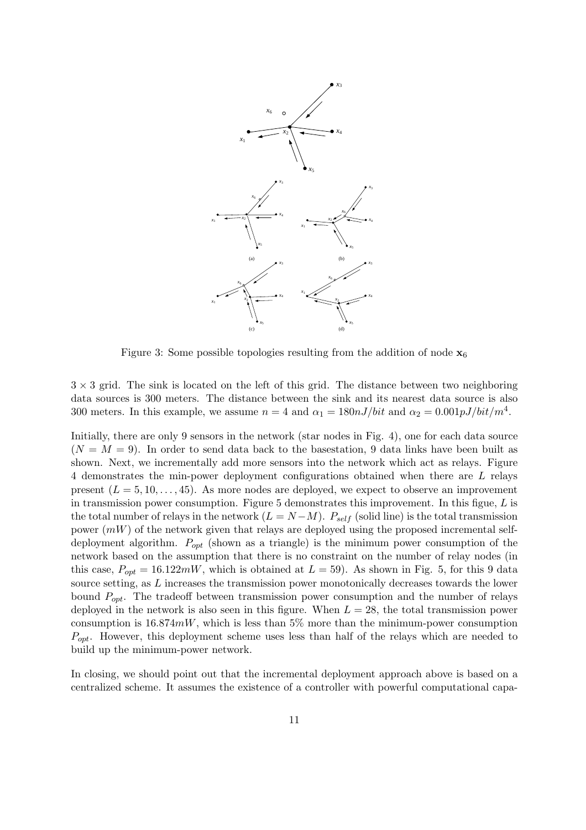

Figure 3: Some possible topologies resulting from the addition of node **x**<sup>6</sup>

 $3 \times 3$  grid. The sink is located on the left of this grid. The distance between two neighboring data sources is 300 meters. The distance between the sink and its nearest data source is also 300 meters. In this example, we assume  $n = 4$  and  $\alpha_1 = 180nJ/bit$  and  $\alpha_2 = 0.001pJ/bit/m^4$ .

Initially, there are only 9 sensors in the network (star nodes in Fig. 4), one for each data source  $(N = M = 9)$ . In order to send data back to the basestation, 9 data links have been built as shown. Next, we incrementally add more sensors into the network which act as relays. Figure 4 demonstrates the min-power deployment configurations obtained when there are L relays present  $(L = 5, 10, \ldots, 45)$ . As more nodes are deployed, we expect to observe an improvement in transmission power consumption. Figure 5 demonstrates this improvement. In this figue,  $L$  is the total number of relays in the network  $(L = N - M)$ .  $P_{self}$  (solid line) is the total transmission power  $(mW)$  of the network given that relays are deployed using the proposed incremental selfdeployment algorithm. P*opt* (shown as a triangle) is the minimum power consumption of the network based on the assumption that there is no constraint on the number of relay nodes (in this case,  $P_{opt} = 16.122mW$ , which is obtained at  $L = 59$ ). As shown in Fig. 5, for this 9 data source setting, as L increases the transmission power monotonically decreases towards the lower bound P*opt*. The tradeoff between transmission power consumption and the number of relays deployed in the network is also seen in this figure. When  $L = 28$ , the total transmission power consumption is  $16.874mW$ , which is less than 5% more than the minimum-power consumption P*opt*. However, this deployment scheme uses less than half of the relays which are needed to build up the minimum-power network.

In closing, we should point out that the incremental deployment approach above is based on a centralized scheme. It assumes the existence of a controller with powerful computational capa-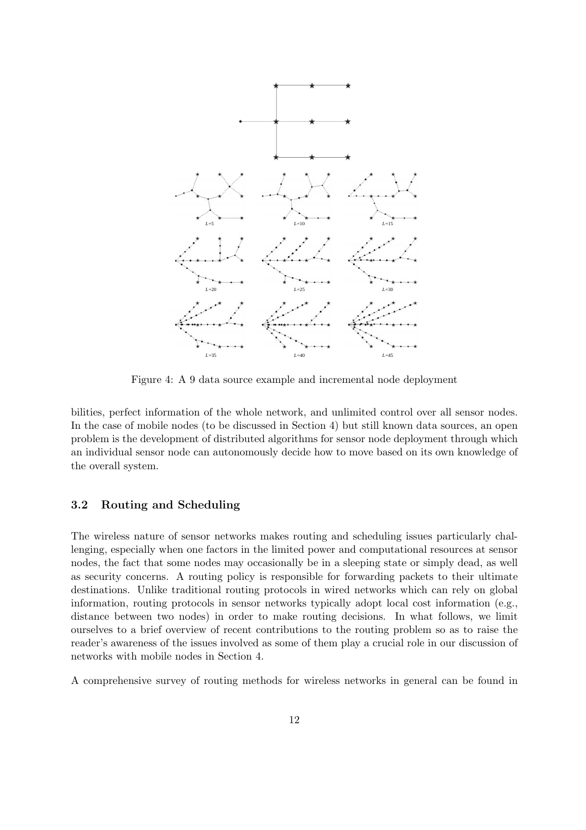

Figure 4: A 9 data source example and incremental node deployment

bilities, perfect information of the whole network, and unlimited control over all sensor nodes. In the case of mobile nodes (to be discussed in Section 4) but still known data sources, an open problem is the development of distributed algorithms for sensor node deployment through which an individual sensor node can autonomously decide how to move based on its own knowledge of the overall system.

### **3.2 Routing and Scheduling**

The wireless nature of sensor networks makes routing and scheduling issues particularly challenging, especially when one factors in the limited power and computational resources at sensor nodes, the fact that some nodes may occasionally be in a sleeping state or simply dead, as well as security concerns. A routing policy is responsible for forwarding packets to their ultimate destinations. Unlike traditional routing protocols in wired networks which can rely on global information, routing protocols in sensor networks typically adopt local cost information (e.g., distance between two nodes) in order to make routing decisions. In what follows, we limit ourselves to a brief overview of recent contributions to the routing problem so as to raise the reader's awareness of the issues involved as some of them play a crucial role in our discussion of networks with mobile nodes in Section 4.

A comprehensive survey of routing methods for wireless networks in general can be found in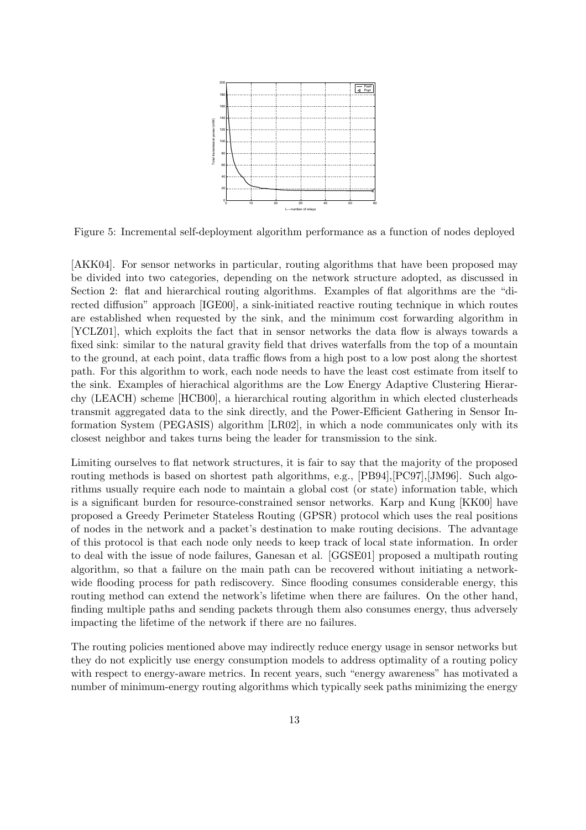

Figure 5: Incremental self-deployment algorithm performance as a function of nodes deployed

[AKK04]. For sensor networks in particular, routing algorithms that have been proposed may be divided into two categories, depending on the network structure adopted, as discussed in Section 2: flat and hierarchical routing algorithms. Examples of flat algorithms are the "directed diffusion" approach [IGE00], a sink-initiated reactive routing technique in which routes are established when requested by the sink, and the minimum cost forwarding algorithm in [YCLZ01], which exploits the fact that in sensor networks the data flow is always towards a fixed sink: similar to the natural gravity field that drives waterfalls from the top of a mountain to the ground, at each point, data traffic flows from a high post to a low post along the shortest path. For this algorithm to work, each node needs to have the least cost estimate from itself to the sink. Examples of hierachical algorithms are the Low Energy Adaptive Clustering Hierarchy (LEACH) scheme [HCB00], a hierarchical routing algorithm in which elected clusterheads transmit aggregated data to the sink directly, and the Power-Efficient Gathering in Sensor Information System (PEGASIS) algorithm [LR02], in which a node communicates only with its closest neighbor and takes turns being the leader for transmission to the sink.

Limiting ourselves to flat network structures, it is fair to say that the majority of the proposed routing methods is based on shortest path algorithms, e.g., [PB94],[PC97],[JM96]. Such algorithms usually require each node to maintain a global cost (or state) information table, which is a significant burden for resource-constrained sensor networks. Karp and Kung [KK00] have proposed a Greedy Perimeter Stateless Routing (GPSR) protocol which uses the real positions of nodes in the network and a packet's destination to make routing decisions. The advantage of this protocol is that each node only needs to keep track of local state information. In order to deal with the issue of node failures, Ganesan et al. [GGSE01] proposed a multipath routing algorithm, so that a failure on the main path can be recovered without initiating a networkwide flooding process for path rediscovery. Since flooding consumes considerable energy, this routing method can extend the network's lifetime when there are failures. On the other hand, finding multiple paths and sending packets through them also consumes energy, thus adversely impacting the lifetime of the network if there are no failures.

The routing policies mentioned above may indirectly reduce energy usage in sensor networks but they do not explicitly use energy consumption models to address optimality of a routing policy with respect to energy-aware metrics. In recent years, such "energy awareness" has motivated a number of minimum-energy routing algorithms which typically seek paths minimizing the energy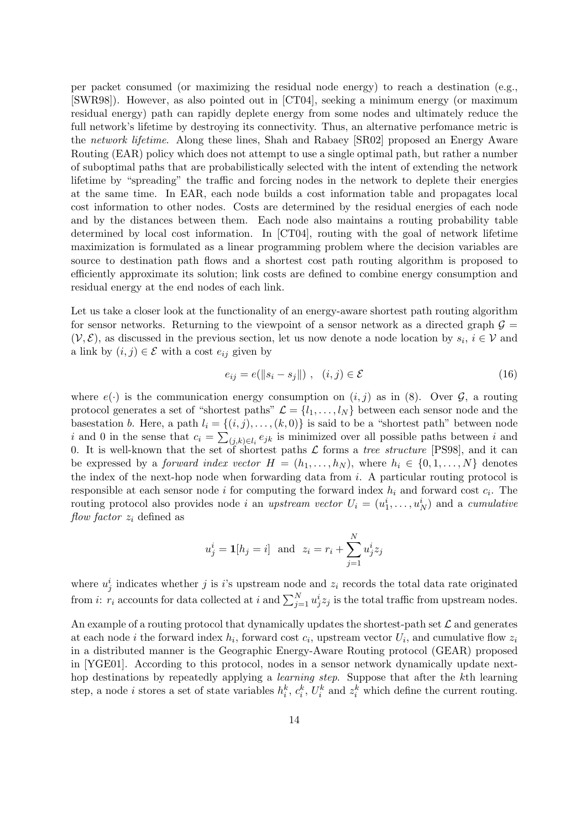per packet consumed (or maximizing the residual node energy) to reach a destination (e.g., [SWR98]). However, as also pointed out in [CT04], seeking a minimum energy (or maximum residual energy) path can rapidly deplete energy from some nodes and ultimately reduce the full network's lifetime by destroying its connectivity. Thus, an alternative perfomance metric is the network lifetime. Along these lines, Shah and Rabaey [SR02] proposed an Energy Aware Routing (EAR) policy which does not attempt to use a single optimal path, but rather a number of suboptimal paths that are probabilistically selected with the intent of extending the network lifetime by "spreading" the traffic and forcing nodes in the network to deplete their energies at the same time. In EAR, each node builds a cost information table and propagates local cost information to other nodes. Costs are determined by the residual energies of each node and by the distances between them. Each node also maintains a routing probability table determined by local cost information. In [CT04], routing with the goal of network lifetime maximization is formulated as a linear programming problem where the decision variables are source to destination path flows and a shortest cost path routing algorithm is proposed to efficiently approximate its solution; link costs are defined to combine energy consumption and residual energy at the end nodes of each link.

Let us take a closer look at the functionality of an energy-aware shortest path routing algorithm for sensor networks. Returning to the viewpoint of a sensor network as a directed graph  $\mathcal{G} =$  $(V, \mathcal{E})$ , as discussed in the previous section, let us now denote a node location by  $s_i, i \in V$  and a link by  $(i, j) \in \mathcal{E}$  with a cost  $e_{ij}$  given by

$$
e_{ij} = e(||s_i - s_j||), \quad (i, j) \in \mathcal{E}
$$
\n
$$
(16)
$$

where  $e(.)$  is the communication energy consumption on  $(i, j)$  as in (8). Over  $\mathcal{G}$ , a routing protocol generates a set of "shortest paths"  $\mathcal{L} = \{l_1, \ldots, l_N\}$  between each sensor node and the basestation b. Here, a path  $l_i = \{(i, j), \ldots, (k, 0)\}$  is said to be a "shortest path" between node i and 0 in the sense that  $c_i = \sum_{(j,k)\in l_i} e_{jk}$  is minimized over all possible paths between i and 0. It is well-known that the set of shortest paths  $\mathcal L$  forms a tree structure [PS98], and it can be expressed by a *forward index vector*  $H = (h_1, \ldots, h_N)$ , where  $h_i \in \{0, 1, \ldots, N\}$  denotes the index of the next-hop node when forwarding data from  $i$ . A particular routing protocol is responsible at each sensor node i for computing the forward index  $h_i$  and forward cost  $c_i$ . The routing protocol also provides node i an upstream vector  $U_i = (u_1^i, \ldots, u_N^i)$  and a cumulative flow factor z*i* defined as

$$
u_j^i = \mathbf{1}[h_j = i]
$$
 and  $z_i = r_i + \sum_{j=1}^N u_j^i z_j$ 

where  $u_j^i$  indicates whether j is i's upstream node and  $z_i$  records the total data rate originated from *i*:  $r_i$  accounts for data collected at *i* and  $\sum_{j=1}^{N} u_j^i z_j$  is the total traffic from upstream nodes.

An example of a routing protocol that dynamically updates the shortest-path set  $\mathcal L$  and generates at each node i the forward index  $h_i$ , forward cost  $c_i$ , upstream vector  $U_i$ , and cumulative flow  $z_i$ in a distributed manner is the Geographic Energy-Aware Routing protocol (GEAR) proposed in [YGE01]. According to this protocol, nodes in a sensor network dynamically update nexthop destinations by repeatedly applying a learning step. Suppose that after the kth learning step, a node *i* stores a set of state variables  $h_i^k$ ,  $c_i^k$ ,  $U_i^k$  and  $z_i^k$  which define the current routing.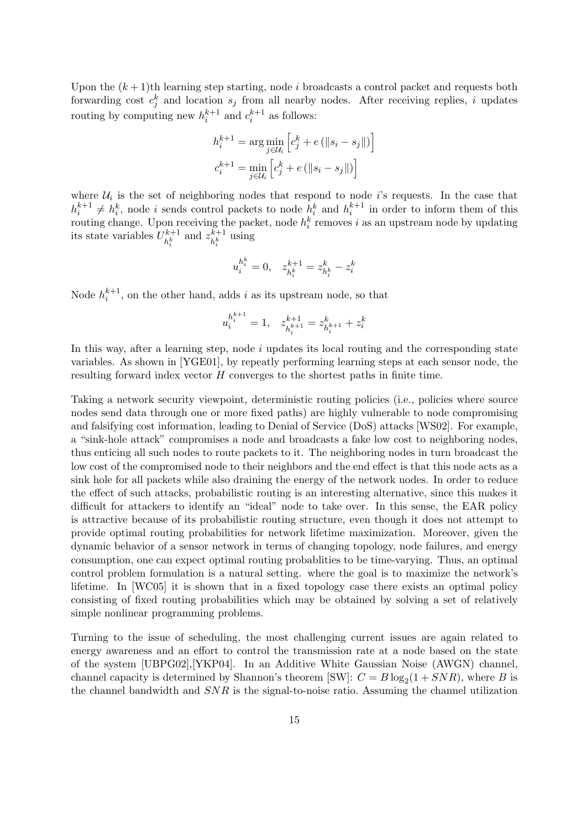Upon the  $(k+1)$ th learning step starting, node *i* broadcasts a control packet and requests both forwarding cost  $c_i^k$  and location  $s_j$  from all nearby nodes. After receiving replies, i updates routing by computing new  $h_i^{k+1}$  and  $c_i^{k+1}$  as follows:

$$
h_i^{k+1} = \arg\min_{j \in \mathcal{U}_i} \left[ c_j^k + e (||s_i - s_j||) \right]
$$
  

$$
c_i^{k+1} = \min_{j \in \mathcal{U}_i} \left[ c_j^k + e (||s_i - s_j||) \right]
$$

where  $\mathcal{U}_i$  is the set of neighboring nodes that respond to node i's requests. In the case that  $h_i^{k+1} \neq h_i^k$ , node *i* sends control packets to node  $h_i^k$  and  $h_i^{k+1}$  in order to inform them of this routing change. Upon receiving the packet, node  $h_i^k$  removes i as an upstream node by updating its state variables  $U_{h_i^k}^{k+1}$  and  $z_{h_i^k}^{k+1}$  using

$$
u_i^{h_i^k}=0, \quad z_{h_i^k}^{k+1}=z_{h_i^k}^k-z_i^k
$$

Node  $h_i^{k+1}$ , on the other hand, adds i as its upstream node, so that

$$
u_i^{h_i^{k+1}} = 1, \quad z_{h_i^{k+1}}^{k+1} = z_{h_i^{k+1}}^k + z_i^k
$$

In this way, after a learning step, node  $i$  updates its local routing and the corresponding state variables. As shown in [YGE01], by repeatly performing learning steps at each sensor node, the resulting forward index vector H converges to the shortest paths in finite time.

Taking a network security viewpoint, deterministic routing policies (i.e., policies where source nodes send data through one or more fixed paths) are highly vulnerable to node compromising and falsifying cost information, leading to Denial of Service (DoS) attacks [WS02]. For example, a "sink-hole attack" compromises a node and broadcasts a fake low cost to neighboring nodes, thus enticing all such nodes to route packets to it. The neighboring nodes in turn broadcast the low cost of the compromised node to their neighbors and the end effect is that this node acts as a sink hole for all packets while also draining the energy of the network nodes. In order to reduce the effect of such attacks, probabilistic routing is an interesting alternative, since this makes it difficult for attackers to identify an "ideal" node to take over. In this sense, the EAR policy is attractive because of its probabilistic routing structure, even though it does not attempt to provide optimal routing probabilities for network lifetime maximization. Moreover, given the dynamic behavior of a sensor network in terms of changing topology, node failures, and energy consumption, one can expect optimal routing probablities to be time-varying. Thus, an optimal control problem formulation is a natural setting. where the goal is to maximize the network's lifetime. In [WC05] it is shown that in a fixed topology case there exists an optimal policy consisting of fixed routing probabilities which may be obtained by solving a set of relatively simple nonlinear programming problems.

Turning to the issue of scheduling, the most challenging current issues are again related to energy awareness and an effort to control the transmission rate at a node based on the state of the system [UBPG02],[YKP04]. In an Additive White Gaussian Noise (AWGN) channel, channel capacity is determined by Shannon's theorem [SW]:  $C = B \log_2(1 + SNR)$ , where B is the channel bandwidth and  $SNR$  is the signal-to-noise ratio. Assuming the channel utilization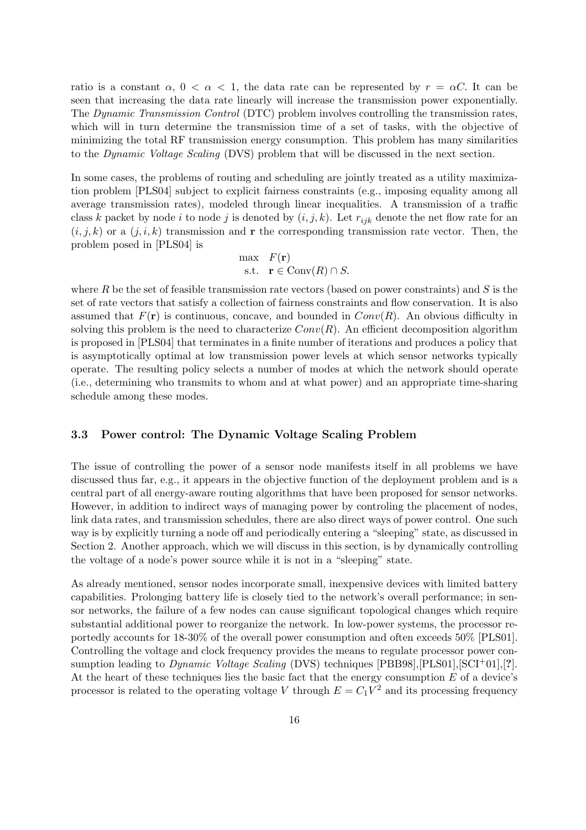ratio is a constant  $\alpha$ ,  $0 < \alpha < 1$ , the data rate can be represented by  $r = \alpha C$ . It can be seen that increasing the data rate linearly will increase the transmission power exponentially. The Dynamic Transmission Control (DTC) problem involves controlling the transmission rates, which will in turn determine the transmission time of a set of tasks, with the objective of minimizing the total RF transmission energy consumption. This problem has many similarities to the Dynamic Voltage Scaling (DVS) problem that will be discussed in the next section.

In some cases, the problems of routing and scheduling are jointly treated as a utility maximization problem [PLS04] subject to explicit fairness constraints (e.g., imposing equality among all average transmission rates), modeled through linear inequalities. A transmission of a traffic class k packet by node i to node j is denoted by  $(i, j, k)$ . Let  $r_{ijk}$  denote the net flow rate for an  $(i, j, k)$  or a  $(j, i, k)$  transmission and **r** the corresponding transmission rate vector. Then, the problem posed in [PLS04] is

$$
\begin{array}{ll}\n\max & F(\mathbf{r}) \\
\text{s.t.} & \mathbf{r} \in \text{Conv}(R) \cap S.\n\end{array}
$$

where R be the set of feasible transmission rate vectors (based on power constraints) and S is the set of rate vectors that satisfy a collection of fairness constraints and flow conservation. It is also assumed that  $F(\mathbf{r})$  is continuous, concave, and bounded in  $Conv(R)$ . An obvious difficulty in solving this problem is the need to characterize  $Conv(R)$ . An efficient decomposition algorithm is proposed in [PLS04] that terminates in a finite number of iterations and produces a policy that is asymptotically optimal at low transmission power levels at which sensor networks typically operate. The resulting policy selects a number of modes at which the network should operate (i.e., determining who transmits to whom and at what power) and an appropriate time-sharing schedule among these modes.

#### **3.3 Power control: The Dynamic Voltage Scaling Problem**

The issue of controlling the power of a sensor node manifests itself in all problems we have discussed thus far, e.g., it appears in the objective function of the deployment problem and is a central part of all energy-aware routing algorithms that have been proposed for sensor networks. However, in addition to indirect ways of managing power by controling the placement of nodes, link data rates, and transmission schedules, there are also direct ways of power control. One such way is by explicitly turning a node off and periodically entering a "sleeping" state, as discussed in Section 2. Another approach, which we will discuss in this section, is by dynamically controlling the voltage of a node's power source while it is not in a "sleeping" state.

As already mentioned, sensor nodes incorporate small, inexpensive devices with limited battery capabilities. Prolonging battery life is closely tied to the network's overall performance; in sensor networks, the failure of a few nodes can cause significant topological changes which require substantial additional power to reorganize the network. In low-power systems, the processor reportedly accounts for 18-30% of the overall power consumption and often exceeds 50% [PLS01]. Controlling the voltage and clock frequency provides the means to regulate processor power consumption leading to Dynamic Voltage Scaling (DVS) techniques [PBB98],[PLS01],[SCI+01],[**?**]. At the heart of these techniques lies the basic fact that the energy consumption  $E$  of a device's processor is related to the operating voltage V through  $E = C_1 V^2$  and its processing frequency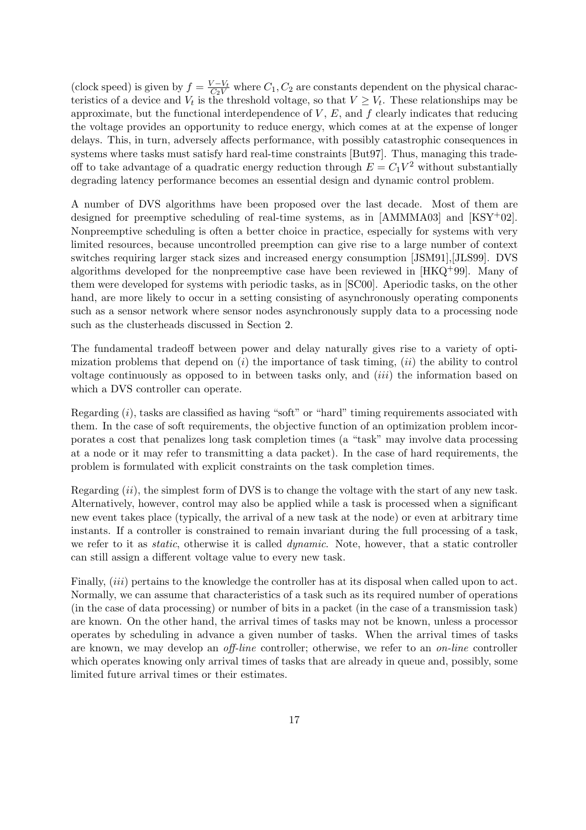(clock speed) is given by  $f = \frac{V - V_t}{C_2 V}$  where  $C_1, C_2$  are constants dependent on the physical characteristics of a device and  $V_t$  is the threshold voltage, so that  $V \geq V_t$ . These relationships may be approximate, but the functional interdependence of  $V, E$ , and  $f$  clearly indicates that reducing the voltage provides an opportunity to reduce energy, which comes at at the expense of longer delays. This, in turn, adversely affects performance, with possibly catastrophic consequences in systems where tasks must satisfy hard real-time constraints [But97]. Thus, managing this tradeoff to take advantage of a quadratic energy reduction through  $E = C_1V^2$  without substantially degrading latency performance becomes an essential design and dynamic control problem.

A number of DVS algorithms have been proposed over the last decade. Most of them are designed for preemptive scheduling of real-time systems, as in [AMMMA03] and  $[KSY^+02]$ . Nonpreemptive scheduling is often a better choice in practice, especially for systems with very limited resources, because uncontrolled preemption can give rise to a large number of context switches requiring larger stack sizes and increased energy consumption [JSM91],[JLS99]. DVS algorithms developed for the nonpreemptive case have been reviewed in  $[HKQ+99]$ . Many of them were developed for systems with periodic tasks, as in [SC00]. Aperiodic tasks, on the other hand, are more likely to occur in a setting consisting of asynchronously operating components such as a sensor network where sensor nodes asynchronously supply data to a processing node such as the clusterheads discussed in Section 2.

The fundamental tradeoff between power and delay naturally gives rise to a variety of optimization problems that depend on  $(i)$  the importance of task timing,  $(ii)$  the ability to control voltage continuously as opposed to in between tasks only, and  $(iii)$  the information based on which a DVS controller can operate.

Regarding  $(i)$ , tasks are classified as having "soft" or "hard" timing requirements associated with them. In the case of soft requirements, the objective function of an optimization problem incorporates a cost that penalizes long task completion times (a "task" may involve data processing at a node or it may refer to transmitting a data packet). In the case of hard requirements, the problem is formulated with explicit constraints on the task completion times.

Regarding  $(ii)$ , the simplest form of DVS is to change the voltage with the start of any new task. Alternatively, however, control may also be applied while a task is processed when a significant new event takes place (typically, the arrival of a new task at the node) or even at arbitrary time instants. If a controller is constrained to remain invariant during the full processing of a task, we refer to it as *static*, otherwise it is called *dynamic*. Note, however, that a static controller can still assign a different voltage value to every new task.

Finally, *(iii)* pertains to the knowledge the controller has at its disposal when called upon to act. Normally, we can assume that characteristics of a task such as its required number of operations (in the case of data processing) or number of bits in a packet (in the case of a transmission task) are known. On the other hand, the arrival times of tasks may not be known, unless a processor operates by scheduling in advance a given number of tasks. When the arrival times of tasks are known, we may develop an off-line controller; otherwise, we refer to an on-line controller which operates knowing only arrival times of tasks that are already in queue and, possibly, some limited future arrival times or their estimates.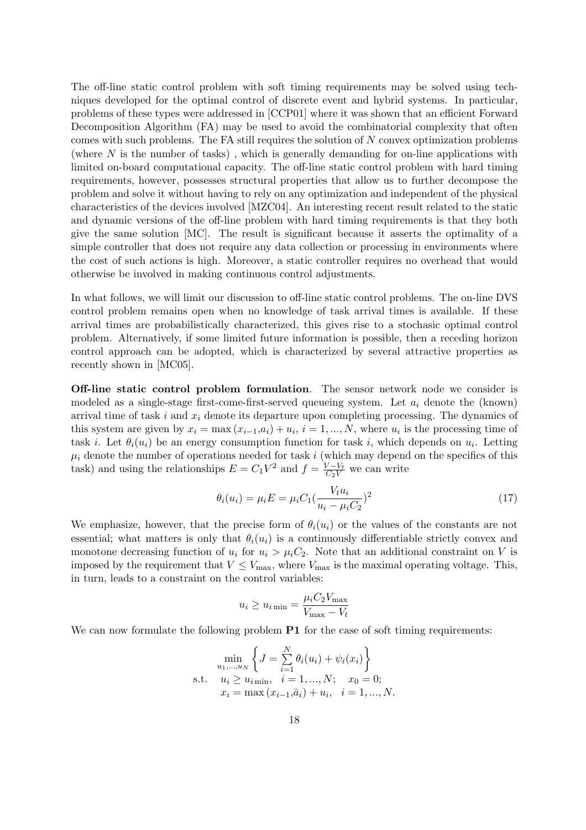The off-line static control problem with soft timing requirements may be solved using techniques developed for the optimal control of discrete event and hybrid systems. In particular, problems of these types were addressed in [CCP01] where it was shown that an efficient Forward Decomposition Algorithm (FA) may be used to avoid the combinatorial complexity that often comes with such problems. The FA still requires the solution of  $N$  convex optimization problems (where N is the number of tasks) , which is generally demanding for on-line applications with limited on-board computational capacity. The off-line static control problem with hard timing requirements, however, possesses structural properties that allow us to further decompose the problem and solve it without having to rely on any optimization and independent of the physical characteristics of the devices involved [MZC04]. An interesting recent result related to the static and dynamic versions of the off-line problem with hard timing requirements is that they both give the same solution [MC]. The result is significant because it asserts the optimality of a simple controller that does not require any data collection or processing in environments where the cost of such actions is high. Moreover, a static controller requires no overhead that would otherwise be involved in making continuous control adjustments.

In what follows, we will limit our discussion to off-line static control problems. The on-line DVS control problem remains open when no knowledge of task arrival times is available. If these arrival times are probabilistically characterized, this gives rise to a stochasic optimal control problem. Alternatively, if some limited future information is possible, then a receding horizon control approach can be adopted, which is characterized by several attractive properties as recently shown in [MC05].

**Off-line static control problem formulation**. The sensor network node we consider is modeled as a single-stage first-come-first-served queueing system. Let a*i* denote the (known) arrival time of task i and x*i* denote its departure upon completing processing. The dynamics of this system are given by  $x_i = \max(x_{i-1}, a_i) + u_i$ ,  $i = 1, ..., N$ , where  $u_i$  is the processing time of task i. Let  $\theta_i(u_i)$  be an energy consumption function for task i, which depends on  $u_i$ . Letting  $\mu_i$  denote the number of operations needed for task  $i$  (which may depend on the specifics of this task) and using the relationships  $E = C_1 V^2$  and  $f = \frac{V - V_t}{C_2 V}$  we can write

$$
\theta_i(u_i) = \mu_i E = \mu_i C_1 \left(\frac{V_t u_i}{u_i - \mu_i C_2}\right)^2
$$
\n(17)

We emphasize, however, that the precise form of  $\theta_i(u_i)$  or the values of the constants are not essential; what matters is only that  $\theta_i(u_i)$  is a continuously differentiable strictly convex and monotone decreasing function of  $u_i$  for  $u_i > \mu_i C_2$ . Note that an additional constraint on V is imposed by the requirement that  $V \leq V_{\text{max}}$ , where  $V_{\text{max}}$  is the maximal operating voltage. This, in turn, leads to a constraint on the control variables:

$$
u_i \ge u_{i \min} = \frac{\mu_i C_2 V_{\max}}{V_{\max} - V_t}
$$

We can now formulate the following problem **P1** for the case of soft timing requirements:

$$
\min_{u_1, \dots, u_N} \left\{ J = \sum_{i=1}^N \theta_i(u_i) + \psi_i(x_i) \right\}
$$
  
s.t.  $u_i \ge u_{i \min}, \quad i = 1, \dots, N; \quad x_0 = 0; \quad x_i = \max(x_{i-1}, \bar{a}_i) + u_i, \quad i = 1, \dots, N.$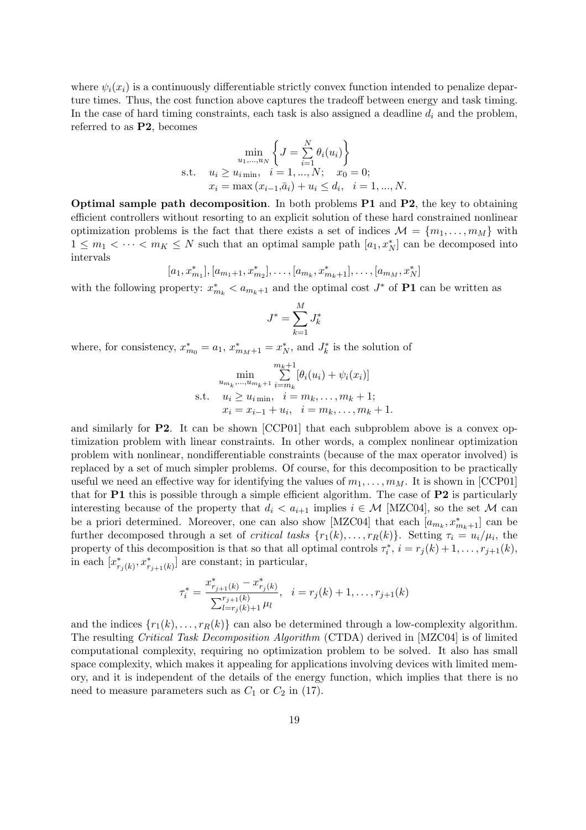where  $\psi_i(x_i)$  is a continuously differentiable strictly convex function intended to penalize departure times. Thus, the cost function above captures the tradeoff between energy and task timing. In the case of hard timing constraints, each task is also assigned a deadline d*i* and the problem, referred to as **P2**, becomes

$$
\min_{u_1, \dots, u_N} \left\{ J = \sum_{i=1}^N \theta_i(u_i) \right\}
$$
  
s.t.  $u_i \ge u_{i \min}, \quad i = 1, \dots, N; \quad x_0 = 0;$   
 $x_i = \max (x_{i-1}, \bar{a}_i) + u_i \le d_i, \quad i = 1, \dots, N.$ 

**Optimal sample path decomposition**. In both problems **P1** and **P2**, the key to obtaining efficient controllers without resorting to an explicit solution of these hard constrained nonlinear optimization problems is the fact that there exists a set of indices  $\mathcal{M} = \{m_1, \ldots, m_M\}$  with  $1 \leq m_1 < \cdots < m_K \leq N$  such that an optimal sample path  $[a_1, x_N^*]$  can be decomposed into intervals

$$
[a_1, x_{m_1}^*], [a_{m_1+1}, x_{m_2}^*], \ldots, [a_{m_k}, x_{m_k+1}^*], \ldots, [a_{m_M}, x_N^*]
$$

with the following property:  $x_{m_k}^* < a_{m_k+1}$  and the optimal cost  $J^*$  of **P1** can be written as

$$
J^* = \sum_{k=1}^M J_k^*
$$

where, for consistency,  $x_{m_0}^* = a_1$ ,  $x_{m_M+1}^* = x_N^*$ , and  $J_k^*$  is the solution of

$$
\min_{u_{m_k}, \dots, u_{m_k+1}} \sum_{i=m_k}^{m_k+1} [\theta_i(u_i) + \psi_i(x_i)]
$$
  
s.t.  $u_i \ge u_{i \min}, \quad i = m_k, \dots, m_k + 1;$   
 $x_i = x_{i-1} + u_i, \quad i = m_k, \dots, m_k + 1.$ 

and similarly for **P2**. It can be shown [CCP01] that each subproblem above is a convex optimization problem with linear constraints. In other words, a complex nonlinear optimization problem with nonlinear, nondifferentiable constraints (because of the max operator involved) is replaced by a set of much simpler problems. Of course, for this decomposition to be practically useful we need an effective way for identifying the values of  $m_1, \ldots, m_M$ . It is shown in [CCP01] that for **P1** this is possible through a simple efficient algorithm. The case of **P2** is particularly interesting because of the property that  $d_i < a_{i+1}$  implies  $i \in \mathcal{M}$  [MZC04], so the set  $\mathcal M$  can be a priori determined. Moreover, one can also show [MZC04] that each  $[a_{m_k}, x^*_{m_k+1}]$  can be further decomposed through a set of *critical tasks*  $\{r_1(k), \ldots, r_R(k)\}\$ . Setting  $\tau_i = u_i/\mu_i$ , the property of this decomposition is that so that all optimal controls  $\tau_i^*$ ,  $i = r_j(k) + 1, \ldots, r_{j+1}(k)$ , in each  $[x^*_{r_j(k)}, x^*_{r_{j+1}(k)}]$  are constant; in particular,

$$
\tau_i^* = \frac{x_{r_{j+1}(k)}^* - x_{r_j(k)}^*}{\sum_{l=r_j(k)+1}^{r_{j+1}(k)} \mu_l}, \quad i = r_j(k) + 1, \dots, r_{j+1}(k)
$$

and the indices  $\{r_1(k),\ldots,r_R(k)\}\)$  can also be determined through a low-complexity algorithm. The resulting Critical Task Decomposition Algorithm (CTDA) derived in [MZC04] is of limited computational complexity, requiring no optimization problem to be solved. It also has small space complexity, which makes it appealing for applications involving devices with limited memory, and it is independent of the details of the energy function, which implies that there is no need to measure parameters such as  $C_1$  or  $C_2$  in (17).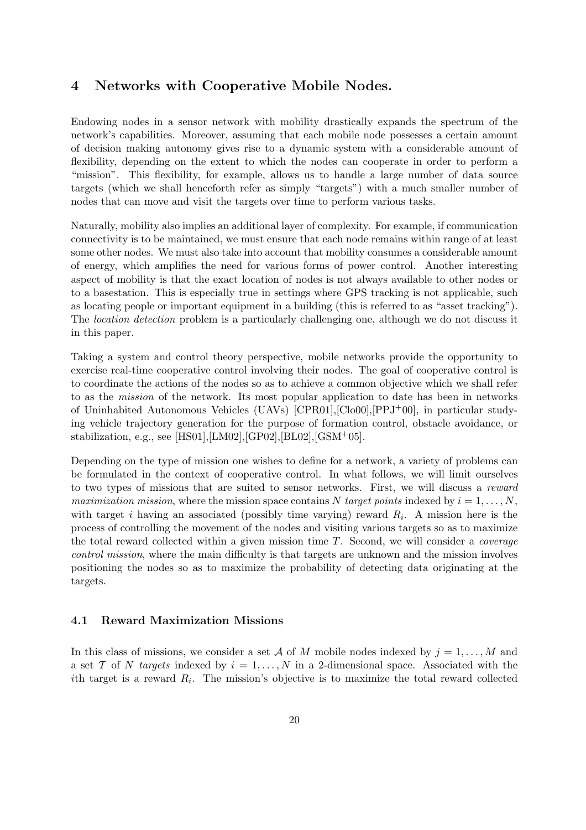### **4 Networks with Cooperative Mobile Nodes.**

Endowing nodes in a sensor network with mobility drastically expands the spectrum of the network's capabilities. Moreover, assuming that each mobile node possesses a certain amount of decision making autonomy gives rise to a dynamic system with a considerable amount of flexibility, depending on the extent to which the nodes can cooperate in order to perform a "mission". This flexibility, for example, allows us to handle a large number of data source targets (which we shall henceforth refer as simply "targets") with a much smaller number of nodes that can move and visit the targets over time to perform various tasks.

Naturally, mobility also implies an additional layer of complexity. For example, if communication connectivity is to be maintained, we must ensure that each node remains within range of at least some other nodes. We must also take into account that mobility consumes a considerable amount of energy, which amplifies the need for various forms of power control. Another interesting aspect of mobility is that the exact location of nodes is not always available to other nodes or to a basestation. This is especially true in settings where GPS tracking is not applicable, such as locating people or important equipment in a building (this is referred to as "asset tracking"). The location detection problem is a particularly challenging one, although we do not discuss it in this paper.

Taking a system and control theory perspective, mobile networks provide the opportunity to exercise real-time cooperative control involving their nodes. The goal of cooperative control is to coordinate the actions of the nodes so as to achieve a common objective which we shall refer to as the mission of the network. Its most popular application to date has been in networks of Uninhabited Autonomous Vehicles (UAVs) [CPR01],[Clo00],[PPJ+00], in particular studying vehicle trajectory generation for the purpose of formation control, obstacle avoidance, or stabilization, e.g., see [HS01], [LM02], [GP02], [BL02], [GSM<sup>+</sup>05].

Depending on the type of mission one wishes to define for a network, a variety of problems can be formulated in the context of cooperative control. In what follows, we will limit ourselves to two types of missions that are suited to sensor networks. First, we will discuss a reward maximization mission, where the mission space contains N target points indexed by  $i = 1, \ldots, N$ , with target i having an associated (possibly time varying) reward R*i*. A mission here is the process of controlling the movement of the nodes and visiting various targets so as to maximize the total reward collected within a given mission time  $T$ . Second, we will consider a *coverage* control mission, where the main difficulty is that targets are unknown and the mission involves positioning the nodes so as to maximize the probability of detecting data originating at the targets.

### **4.1 Reward Maximization Missions**

In this class of missions, we consider a set A of M mobile nodes indexed by  $j = 1, \ldots, M$  and a set T of N targets indexed by  $i = 1, \ldots, N$  in a 2-dimensional space. Associated with the ith target is a reward R*i*. The mission's objective is to maximize the total reward collected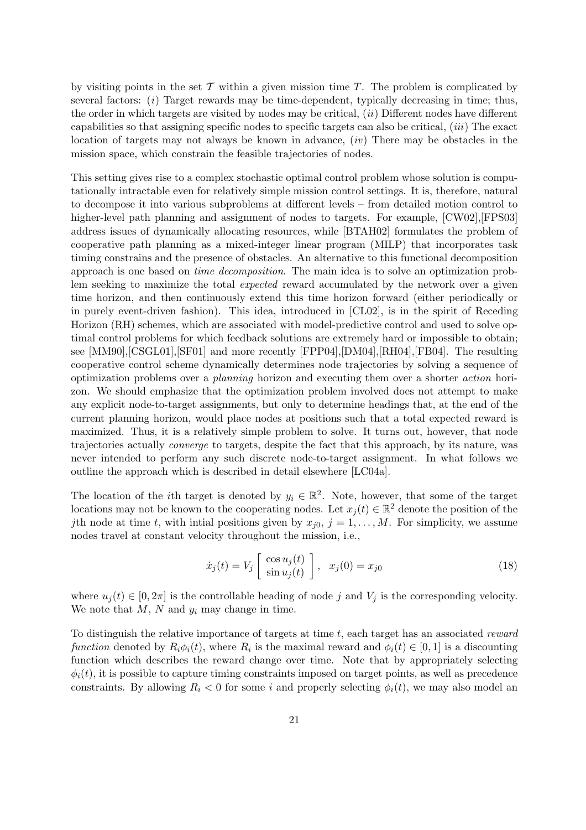by visiting points in the set  $\mathcal T$  within a given mission time  $T$ . The problem is complicated by several factors:  $(i)$  Target rewards may be time-dependent, typically decreasing in time; thus, the order in which targets are visited by nodes may be critical,  $(ii)$  Different nodes have different capabilities so that assigning specific nodes to specific targets can also be critical, (iii) The exact location of targets may not always be known in advance, (iv) There may be obstacles in the mission space, which constrain the feasible trajectories of nodes.

This setting gives rise to a complex stochastic optimal control problem whose solution is computationally intractable even for relatively simple mission control settings. It is, therefore, natural to decompose it into various subproblems at different levels – from detailed motion control to higher-level path planning and assignment of nodes to targets. For example,  $[CW02], [FPS03]$ address issues of dynamically allocating resources, while [BTAH02] formulates the problem of cooperative path planning as a mixed-integer linear program (MILP) that incorporates task timing constrains and the presence of obstacles. An alternative to this functional decomposition approach is one based on time decomposition. The main idea is to solve an optimization problem seeking to maximize the total expected reward accumulated by the network over a given time horizon, and then continuously extend this time horizon forward (either periodically or in purely event-driven fashion). This idea, introduced in [CL02], is in the spirit of Receding Horizon (RH) schemes, which are associated with model-predictive control and used to solve optimal control problems for which feedback solutions are extremely hard or impossible to obtain; see [MM90],[CSGL01],[SF01] and more recently [FPP04],[DM04],[RH04],[FB04]. The resulting cooperative control scheme dynamically determines node trajectories by solving a sequence of optimization problems over a planning horizon and executing them over a shorter action horizon. We should emphasize that the optimization problem involved does not attempt to make any explicit node-to-target assignments, but only to determine headings that, at the end of the current planning horizon, would place nodes at positions such that a total expected reward is maximized. Thus, it is a relatively simple problem to solve. It turns out, however, that node trajectories actually converge to targets, despite the fact that this approach, by its nature, was never intended to perform any such discrete node-to-target assignment. In what follows we outline the approach which is described in detail elsewhere [LC04a].

The location of the *i*th target is denoted by  $y_i \in \mathbb{R}^2$ . Note, however, that some of the target locations may not be known to the cooperating nodes. Let  $x_j(t) \in \mathbb{R}^2$  denote the position of the *j*th node at time t, with intial positions given by  $x_{j0}$ ,  $j = 1, \ldots, M$ . For simplicity, we assume nodes travel at constant velocity throughout the mission, i.e.,

$$
\dot{x}_j(t) = V_j \begin{bmatrix} \cos u_j(t) \\ \sin u_j(t) \end{bmatrix}, \quad x_j(0) = x_{j0} \tag{18}
$$

where  $u_j(t) \in [0, 2\pi]$  is the controllable heading of node j and  $V_j$  is the corresponding velocity. We note that M, N and y*i* may change in time.

To distinguish the relative importance of targets at time  $t$ , each target has an associated reward function denoted by  $R_i\phi_i(t)$ , where  $R_i$  is the maximal reward and  $\phi_i(t) \in [0, 1]$  is a discounting function which describes the reward change over time. Note that by appropriately selecting  $\phi_i(t)$ , it is possible to capture timing constraints imposed on target points, as well as precedence constraints. By allowing  $R_i < 0$  for some i and properly selecting  $\phi_i(t)$ , we may also model an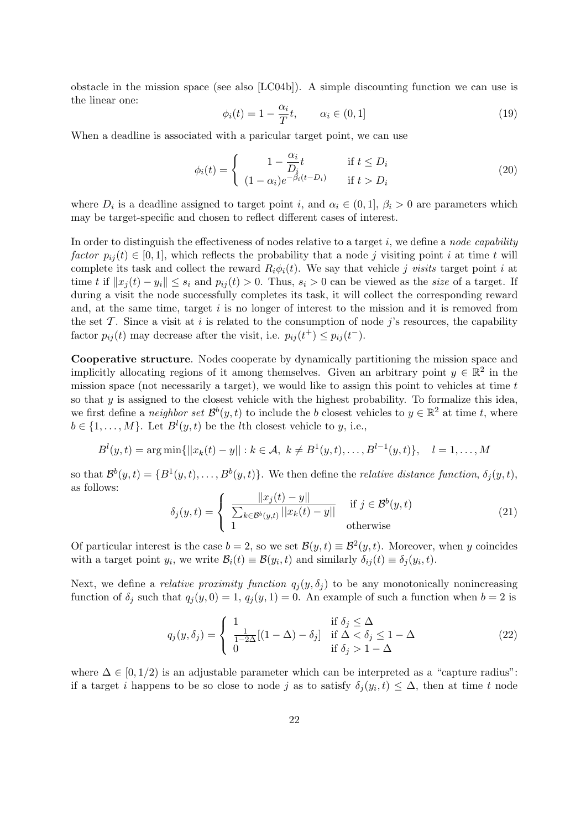obstacle in the mission space (see also [LC04b]). A simple discounting function we can use is the linear one:

$$
\phi_i(t) = 1 - \frac{\alpha_i}{T}t, \qquad \alpha_i \in (0, 1]
$$
\n(19)

When a deadline is associated with a paricular target point, we can use

$$
\phi_i(t) = \begin{cases}\n1 - \frac{\alpha_i}{D_i} t & \text{if } t \le D_i \\
(1 - \alpha_i) e^{-\beta_i (t - D_i)} & \text{if } t > D_i\n\end{cases}
$$
\n(20)

where  $D_i$  is a deadline assigned to target point i, and  $\alpha_i \in (0,1], \beta_i > 0$  are parameters which may be target-specific and chosen to reflect different cases of interest.

In order to distinguish the effectiveness of nodes relative to a target  $i$ , we define a node capability factor  $p_{ij}(t) \in [0,1]$ , which reflects the probability that a node j visiting point i at time t will complete its task and collect the reward  $R_i\phi_i(t)$ . We say that vehicle j visits target point i at time t if  $||x_i(t) - y_i|| \leq s_i$  and  $p_{ij}(t) > 0$ . Thus,  $s_i > 0$  can be viewed as the *size* of a target. If during a visit the node successfully completes its task, it will collect the corresponding reward and, at the same time, target i is no longer of interest to the mission and it is removed from the set  $\mathcal T$ . Since a visit at i is related to the consumption of node j's resources, the capability factor  $p_{ij}(t)$  may decrease after the visit, i.e.  $p_{ij}(t^+) \leq p_{ij}(t^-)$ .

**Cooperative structure**. Nodes cooperate by dynamically partitioning the mission space and implicitly allocating regions of it among themselves. Given an arbitrary point  $y \in \mathbb{R}^2$  in the mission space (not necessarily a target), we would like to assign this point to vehicles at time  $t$ so that  $y$  is assigned to the closest vehicle with the highest probability. To formalize this idea, we first define a *neighbor set*  $\mathcal{B}^b(y, t)$  to include the b closest vehicles to  $y \in \mathbb{R}^2$  at time t, where  $b \in \{1, \ldots, M\}$ . Let  $B^l(y, t)$  be the *l*th closest vehicle to y, i.e.,

$$
B^{l}(y,t) = \arg \min \{ ||x_{k}(t) - y|| : k \in \mathcal{A}, k \neq B^{1}(y,t), \ldots, B^{l-1}(y,t) \}, \quad l = 1, \ldots, M
$$

so that  $\mathcal{B}^b(y,t) = \{B^1(y,t), \ldots, B^b(y,t)\}\.$  We then define the *relative distance function*,  $\delta_i(y,t)$ , as follows:

$$
\delta_j(y,t) = \begin{cases} \frac{\|x_j(t) - y\|}{\sum_{k \in \mathcal{B}^b(y,t)} ||x_k(t) - y||} & \text{if } j \in \mathcal{B}^b(y,t) \\ 1 & \text{otherwise} \end{cases} \tag{21}
$$

Of particular interest is the case  $b = 2$ , so we set  $\mathcal{B}(y, t) \equiv \mathcal{B}^2(y, t)$ . Moreover, when y coincides with a target point  $y_i$ , we write  $\mathcal{B}_i(t) \equiv \mathcal{B}(y_i, t)$  and similarly  $\delta_{ij}(t) \equiv \delta_j(y_i, t)$ .

Next, we define a *relative proximity function*  $q_j(y, \delta_j)$  to be any monotonically nonincreasing function of  $\delta_j$  such that  $q_j(y, 0) = 1$ ,  $q_j(y, 1) = 0$ . An example of such a function when  $b = 2$  is

$$
q_j(y, \delta_j) = \begin{cases} 1 & \text{if } \delta_j \leq \Delta \\ \frac{1}{1 - 2\Delta} [(1 - \Delta) - \delta_j] & \text{if } \Delta < \delta_j \leq 1 - \Delta \\ 0 & \text{if } \delta_j > 1 - \Delta \end{cases}
$$
(22)

where  $\Delta \in [0, 1/2)$  is an adjustable parameter which can be interpreted as a "capture radius": if a target i happens to be so close to node j as to satisfy  $\delta_i(y_i, t) \leq \Delta$ , then at time t node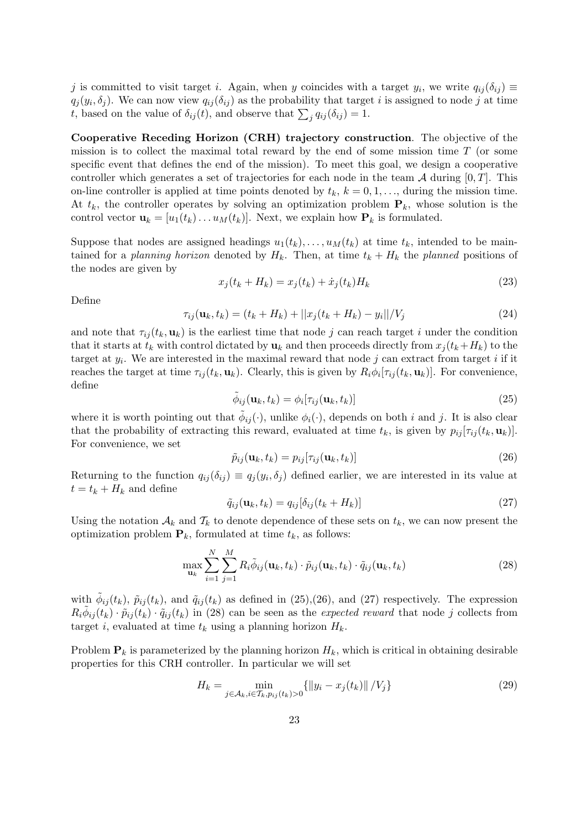j is committed to visit target i. Again, when y coincides with a target  $y_i$ , we write  $q_{ij}(\delta_{ij}) \equiv$  $q_j(y_i, \delta_j)$ . We can now view  $q_{ij}(\delta_{ij})$  as the probability that target i is assigned to node j at time t, based on the value of  $\delta_{ij}(t)$ , and observe that  $\sum_{i} q_{ij}(\delta_{ij}) = 1$ .

**Cooperative Receding Horizon (CRH) trajectory construction**. The objective of the mission is to collect the maximal total reward by the end of some mission time  $T$  (or some specific event that defines the end of the mission). To meet this goal, we design a cooperative controller which generates a set of trajectories for each node in the team  $\mathcal A$  during  $[0, T]$ . This on-line controller is applied at time points denoted by  $t_k$ ,  $k = 0, 1, \ldots$ , during the mission time. At  $t_k$ , the controller operates by solving an optimization problem  $P_k$ , whose solution is the control vector  $\mathbf{u}_k = [u_1(t_k) \dots u_M(t_k)]$ . Next, we explain how  $\mathbf{P}_k$  is formulated.

Suppose that nodes are assigned headings  $u_1(t_k), \ldots, u_M(t_k)$  at time  $t_k$ , intended to be maintained for a planning horizon denoted by  $H_k$ . Then, at time  $t_k + H_k$  the planned positions of the nodes are given by

$$
x_j(t_k + H_k) = x_j(t_k) + \dot{x}_j(t_k)H_k
$$
\n(23)

Define

$$
\tau_{ij}(\mathbf{u}_k, t_k) = (t_k + H_k) + ||x_j(t_k + H_k) - y_i||/V_j
$$
\n(24)

and note that  $\tau_{ij}(t_k, \mathbf{u}_k)$  is the earliest time that node j can reach target i under the condition that it starts at  $t_k$  with control dictated by  $\mathbf{u}_k$  and then proceeds directly from  $x_j(t_k+H_k)$  to the target at  $y_i$ . We are interested in the maximal reward that node j can extract from target i if it reaches the target at time  $\tau_{ij}(t_k, \mathbf{u}_k)$ . Clearly, this is given by  $R_i \phi_i[\tau_{ij}(t_k, \mathbf{u}_k)]$ . For convenience, define

$$
\tilde{\phi}_{ij}(\mathbf{u}_k, t_k) = \phi_i[\tau_{ij}(\mathbf{u}_k, t_k)]
$$
\n(25)

where it is worth pointing out that  $\tilde{\phi}_{ij}(\cdot)$ , unlike  $\phi_i(\cdot)$ , depends on both i and j. It is also clear that the probability of extracting this reward, evaluated at time  $t_k$ , is given by  $p_{ij}[\tau_{ij}(t_k, \mathbf{u}_k)]$ . For convenience, we set

$$
\tilde{p}_{ij}(\mathbf{u}_k, t_k) = p_{ij}[\tau_{ij}(\mathbf{u}_k, t_k)]
$$
\n(26)

Returning to the function  $q_{ij}(\delta_{ij}) \equiv q_j(y_i, \delta_j)$  defined earlier, we are interested in its value at  $t = t_k + H_k$  and define

$$
\tilde{q}_{ij}(\mathbf{u}_k, t_k) = q_{ij}[\delta_{ij}(t_k + H_k)]
$$
\n(27)

Using the notation  $A_k$  and  $T_k$  to denote dependence of these sets on  $t_k$ , we can now present the optimization problem  $P_k$ , formulated at time  $t_k$ , as follows:

$$
\max_{\mathbf{u}_k} \sum_{i=1}^N \sum_{j=1}^M R_i \tilde{\phi}_{ij}(\mathbf{u}_k, t_k) \cdot \tilde{p}_{ij}(\mathbf{u}_k, t_k) \cdot \tilde{q}_{ij}(\mathbf{u}_k, t_k)
$$
\n(28)

with  $\phi_{ij}(t_k)$ ,  $\tilde{p}_{ij}(t_k)$ , and  $\tilde{q}_{ij}(t_k)$  as defined in (25),(26), and (27) respectively. The expression  $R_i\phi_{ij}(t_k)\cdot \tilde{p}_{ij}(t_k)\cdot \tilde{q}_{ij}(t_k)$  in (28) can be seen as the expected reward that node j collects from target *i*, evaluated at time  $t_k$  using a planning horizon  $H_k$ .

Problem  $P_k$  is parameterized by the planning horizon  $H_k$ , which is critical in obtaining desirable properties for this CRH controller. In particular we will set

$$
H_k = \min_{j \in \mathcal{A}_k, i \in \mathcal{T}_k, p_{ij}(t_k) > 0} \{ \| y_i - x_j(t_k) \| / V_j \} \tag{29}
$$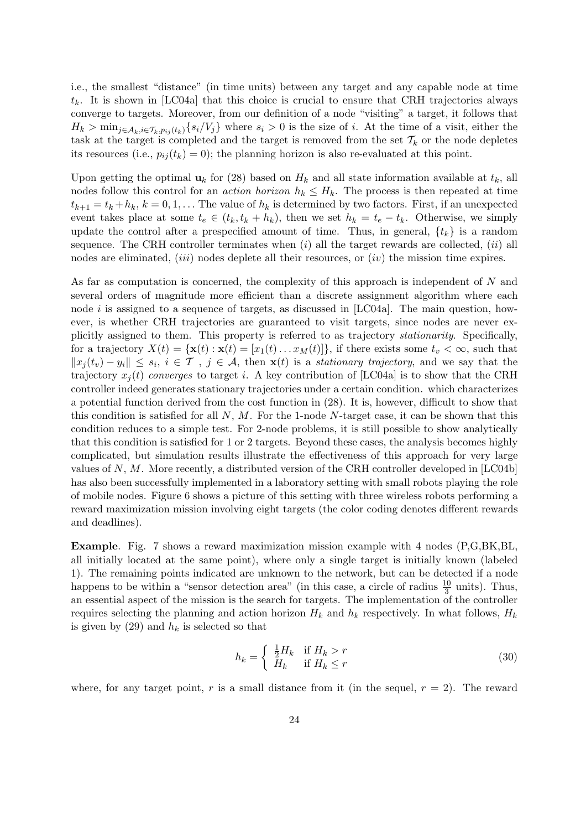i.e., the smallest "distance" (in time units) between any target and any capable node at time t*k*. It is shown in [LC04a] that this choice is crucial to ensure that CRH trajectories always converge to targets. Moreover, from our definition of a node "visiting" a target, it follows that  $H_k > \min_{j \in \mathcal{A}_k, i \in \mathcal{T}_k, p_{ij}(t_k)} \{s_i/V_j\}$  where  $s_i > 0$  is the size of i. At the time of a visit, either the task at the target is completed and the target is removed from the set  $\mathcal{T}_k$  or the node depletes its resources (i.e.,  $p_{ij}(t_k) = 0$ ); the planning horizon is also re-evaluated at this point.

Upon getting the optimal  $\mathbf{u}_k$  for (28) based on  $H_k$  and all state information available at  $t_k$ , all nodes follow this control for an *action horizon*  $h_k \leq H_k$ . The process is then repeated at time  $t_{k+1} = t_k + h_k$ ,  $k = 0, 1, \ldots$  The value of  $h_k$  is determined by two factors. First, if an unexpected event takes place at some  $t_e \in (t_k, t_k + h_k)$ , then we set  $h_k = t_e - t_k$ . Otherwise, we simply update the control after a prespecified amount of time. Thus, in general,  $\{t_k\}$  is a random sequence. The CRH controller terminates when  $(i)$  all the target rewards are collected,  $(ii)$  all nodes are eliminated,  $(iii)$  nodes deplete all their resources, or  $(iv)$  the mission time expires.

As far as computation is concerned, the complexity of this approach is independent of N and several orders of magnitude more efficient than a discrete assignment algorithm where each node i is assigned to a sequence of targets, as discussed in  $[LC04a]$ . The main question, however, is whether CRH trajectories are guaranteed to visit targets, since nodes are never explicitly assigned to them. This property is referred to as trajectory stationarity. Specifically, for a trajectory  $X(t) = {\mathbf{x}(t) : \mathbf{x}(t) = [x_1(t) \dots x_M(t)]}$ , if there exists some  $t_v < \infty$ , such that  $||x_i(t_v) - y_i|| \leq s_i, i \in \mathcal{T}, j \in \mathcal{A}$ , then  $\mathbf{x}(t)$  is a *stationary trajectory*, and we say that the trajectory  $x_i(t)$  converges to target i. A key contribution of [LC04a] is to show that the CRH controller indeed generates stationary trajectories under a certain condition. which characterizes a potential function derived from the cost function in (28). It is, however, difficult to show that this condition is satisfied for all  $N$ ,  $M$ . For the 1-node N-target case, it can be shown that this condition reduces to a simple test. For 2-node problems, it is still possible to show analytically that this condition is satisfied for 1 or 2 targets. Beyond these cases, the analysis becomes highly complicated, but simulation results illustrate the effectiveness of this approach for very large values of  $N, M$ . More recently, a distributed version of the CRH controller developed in [LC04b] has also been successfully implemented in a laboratory setting with small robots playing the role of mobile nodes. Figure 6 shows a picture of this setting with three wireless robots performing a reward maximization mission involving eight targets (the color coding denotes different rewards and deadlines).

**Example**. Fig. 7 shows a reward maximization mission example with 4 nodes (P,G,BK,BL, all initially located at the same point), where only a single target is initially known (labeled 1). The remaining points indicated are unknown to the network, but can be detected if a node happens to be within a "sensor detection area" (in this case, a circle of radius  $\frac{10}{3}$  units). Thus, an essential aspect of the mission is the search for targets. The implementation of the controller requires selecting the planning and action horizon  $H_k$  and  $h_k$  respectively. In what follows,  $H_k$ is given by  $(29)$  and  $h_k$  is selected so that

$$
h_k = \begin{cases} \frac{1}{2}H_k & \text{if } H_k > r\\ H_k & \text{if } H_k \le r \end{cases}
$$
 (30)

where, for any target point, r is a small distance from it (in the sequel,  $r = 2$ ). The reward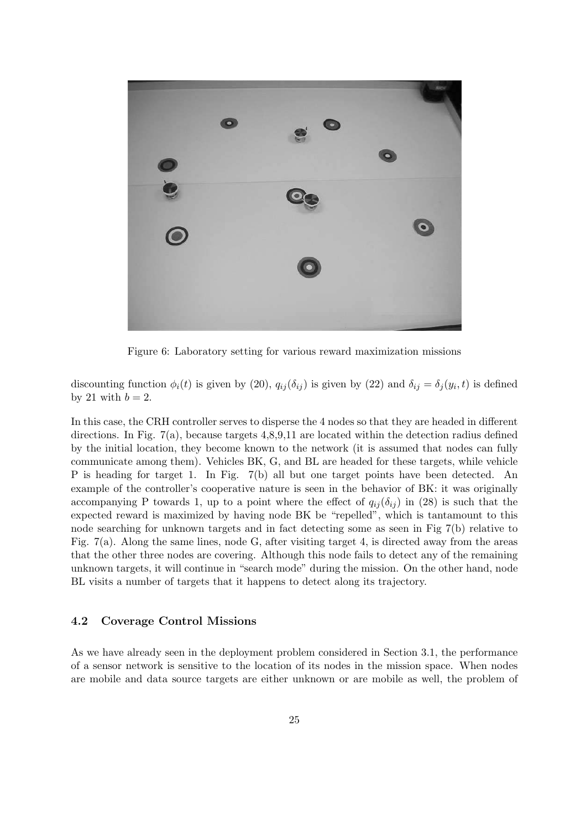

Figure 6: Laboratory setting for various reward maximization missions

discounting function  $\phi_i(t)$  is given by (20),  $q_{ij}(\delta_{ij})$  is given by (22) and  $\delta_{ij} = \delta_j(y_i, t)$  is defined by 21 with  $b = 2$ .

In this case, the CRH controller serves to disperse the 4 nodes so that they are headed in different directions. In Fig. 7(a), because targets 4,8,9,11 are located within the detection radius defined by the initial location, they become known to the network (it is assumed that nodes can fully communicate among them). Vehicles BK, G, and BL are headed for these targets, while vehicle P is heading for target 1. In Fig. 7(b) all but one target points have been detected. An example of the controller's cooperative nature is seen in the behavior of BK: it was originally accompanying P towards 1, up to a point where the effect of  $q_{ii}(\delta_{ii})$  in (28) is such that the expected reward is maximized by having node BK be "repelled", which is tantamount to this node searching for unknown targets and in fact detecting some as seen in Fig 7(b) relative to Fig. 7(a). Along the same lines, node G, after visiting target 4, is directed away from the areas that the other three nodes are covering. Although this node fails to detect any of the remaining unknown targets, it will continue in "search mode" during the mission. On the other hand, node BL visits a number of targets that it happens to detect along its trajectory.

#### **4.2 Coverage Control Missions**

As we have already seen in the deployment problem considered in Section 3.1, the performance of a sensor network is sensitive to the location of its nodes in the mission space. When nodes are mobile and data source targets are either unknown or are mobile as well, the problem of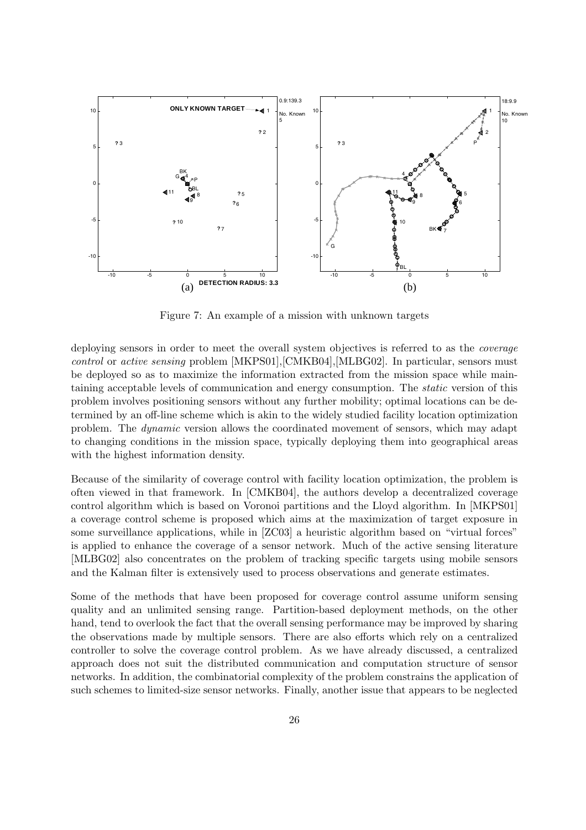

Figure 7: An example of a mission with unknown targets

deploying sensors in order to meet the overall system objectives is referred to as the coverage control or active sensing problem [MKPS01],[CMKB04],[MLBG02]. In particular, sensors must be deployed so as to maximize the information extracted from the mission space while maintaining acceptable levels of communication and energy consumption. The static version of this problem involves positioning sensors without any further mobility; optimal locations can be determined by an off-line scheme which is akin to the widely studied facility location optimization problem. The dynamic version allows the coordinated movement of sensors, which may adapt to changing conditions in the mission space, typically deploying them into geographical areas with the highest information density.

Because of the similarity of coverage control with facility location optimization, the problem is often viewed in that framework. In [CMKB04], the authors develop a decentralized coverage control algorithm which is based on Voronoi partitions and the Lloyd algorithm. In [MKPS01] a coverage control scheme is proposed which aims at the maximization of target exposure in some surveillance applications, while in [ZC03] a heuristic algorithm based on "virtual forces" is applied to enhance the coverage of a sensor network. Much of the active sensing literature [MLBG02] also concentrates on the problem of tracking specific targets using mobile sensors and the Kalman filter is extensively used to process observations and generate estimates.

Some of the methods that have been proposed for coverage control assume uniform sensing quality and an unlimited sensing range. Partition-based deployment methods, on the other hand, tend to overlook the fact that the overall sensing performance may be improved by sharing the observations made by multiple sensors. There are also efforts which rely on a centralized controller to solve the coverage control problem. As we have already discussed, a centralized approach does not suit the distributed communication and computation structure of sensor networks. In addition, the combinatorial complexity of the problem constrains the application of such schemes to limited-size sensor networks. Finally, another issue that appears to be neglected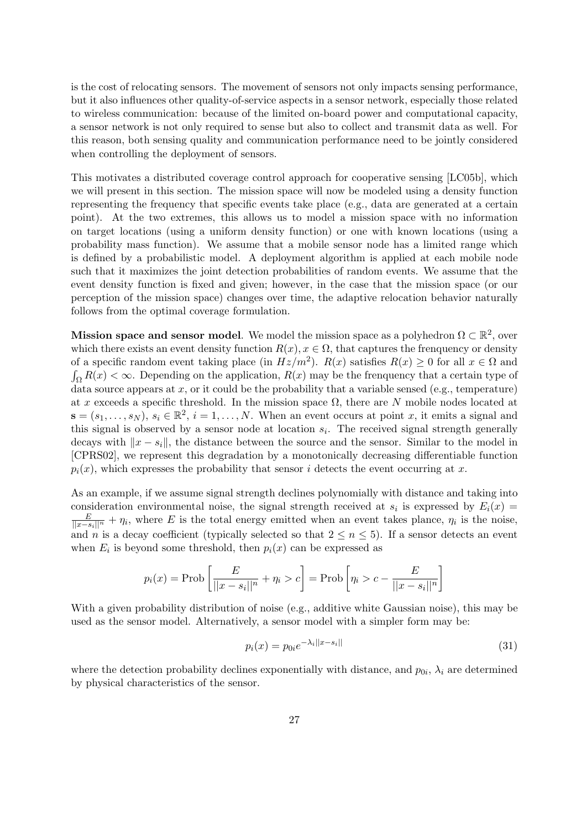is the cost of relocating sensors. The movement of sensors not only impacts sensing performance, but it also influences other quality-of-service aspects in a sensor network, especially those related to wireless communication: because of the limited on-board power and computational capacity, a sensor network is not only required to sense but also to collect and transmit data as well. For this reason, both sensing quality and communication performance need to be jointly considered when controlling the deployment of sensors.

This motivates a distributed coverage control approach for cooperative sensing [LC05b], which we will present in this section. The mission space will now be modeled using a density function representing the frequency that specific events take place (e.g., data are generated at a certain point). At the two extremes, this allows us to model a mission space with no information on target locations (using a uniform density function) or one with known locations (using a probability mass function). We assume that a mobile sensor node has a limited range which is defined by a probabilistic model. A deployment algorithm is applied at each mobile node such that it maximizes the joint detection probabilities of random events. We assume that the event density function is fixed and given; however, in the case that the mission space (or our perception of the mission space) changes over time, the adaptive relocation behavior naturally follows from the optimal coverage formulation.

**Mission space and sensor model**. We model the mission space as a polyhedron  $\Omega \subset \mathbb{R}^2$ , over which there exists an event density function  $R(x)$ ,  $x \in \Omega$ , that captures the frenquency or density of a specific random event taking place (in  $Hz/m^2$ ).  $R(x)$  satisfies  $R(x) \geq 0$  for all  $x \in \Omega$  and  $\int_{\Omega} R(x) < \infty$ . Depending on the application,  $R(x)$  may be the frenquency that a certain type of data source appears at  $x$ , or it could be the probability that a variable sensed (e.g., temperature) at x exceeds a specific threshold. In the mission space  $\Omega$ , there are N mobile nodes located at  $\mathbf{s} = (s_1, \ldots, s_N), s_i \in \mathbb{R}^2, i = 1, \ldots, N$ . When an event occurs at point x, it emits a signal and this signal is observed by a sensor node at location s*i*. The received signal strength generally decays with  $||x - s_i||$ , the distance between the source and the sensor. Similar to the model in [CPRS02], we represent this degradation by a monotonically decreasing differentiable function  $p_i(x)$ , which expresses the probability that sensor i detects the event occurring at x.

As an example, if we assume signal strength declines polynomially with distance and taking into consideration environmental noise, the signal strength received at  $s_i$  is expressed by  $E_i(x)$  $\frac{E}{||x-s_i||^n} + \eta_i$ , where E is the total energy emitted when an event takes plance,  $\eta_i$  is the noise, and n is a decay coefficient (typically selected so that  $2 \leq n \leq 5$ ). If a sensor detects an event when  $E_i$  is beyond some threshold, then  $p_i(x)$  can be expressed as

$$
p_i(x) = \text{Prob}\left[\frac{E}{||x - s_i||^n} + \eta_i > c\right] = \text{Prob}\left[\eta_i > c - \frac{E}{||x - s_i||^n}\right]
$$

With a given probability distribution of noise (e.g., additive white Gaussian noise), this may be used as the sensor model. Alternatively, a sensor model with a simpler form may be:

$$
p_i(x) = p_{0i}e^{-\lambda_i||x - s_i||}
$$
\n(31)

where the detection probability declines exponentially with distance, and  $p_{0i}$ ,  $\lambda_i$  are determined by physical characteristics of the sensor.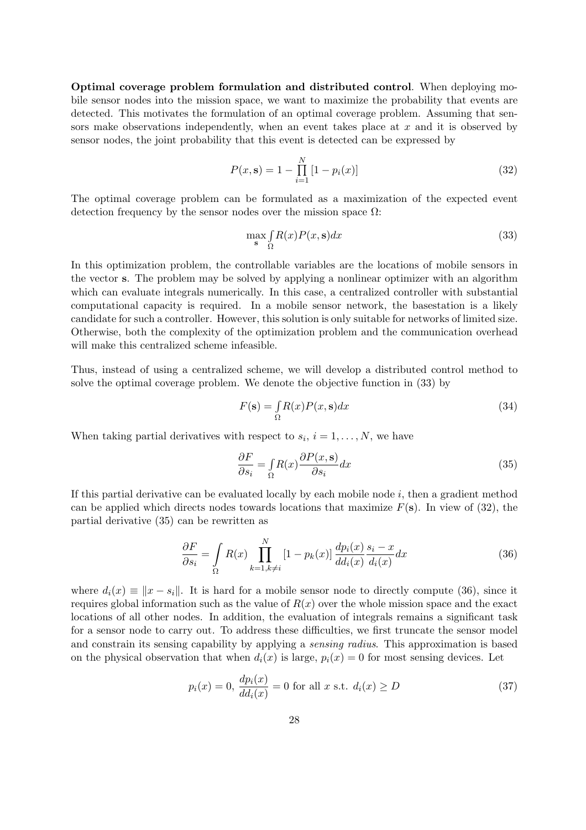**Optimal coverage problem formulation and distributed control**. When deploying mobile sensor nodes into the mission space, we want to maximize the probability that events are detected. This motivates the formulation of an optimal coverage problem. Assuming that sensors make observations independently, when an event takes place at  $x$  and it is observed by sensor nodes, the joint probability that this event is detected can be expressed by

$$
P(x, \mathbf{s}) = 1 - \prod_{i=1}^{N} [1 - p_i(x)] \tag{32}
$$

The optimal coverage problem can be formulated as a maximization of the expected event detection frequency by the sensor nodes over the mission space  $\Omega$ :

$$
\max_{\mathbf{s}} \int_{\Omega} R(x)P(x,\mathbf{s})dx\tag{33}
$$

In this optimization problem, the controllable variables are the locations of mobile sensors in the vector **s**. The problem may be solved by applying a nonlinear optimizer with an algorithm which can evaluate integrals numerically. In this case, a centralized controller with substantial computational capacity is required. In a mobile sensor network, the basestation is a likely candidate for such a controller. However, this solution is only suitable for networks of limited size. Otherwise, both the complexity of the optimization problem and the communication overhead will make this centralized scheme infeasible.

Thus, instead of using a centralized scheme, we will develop a distributed control method to solve the optimal coverage problem. We denote the objective function in (33) by

$$
F(\mathbf{s}) = \int_{\Omega} R(x)P(x,\mathbf{s})dx\tag{34}
$$

When taking partial derivatives with respect to  $s_i$ ,  $i = 1, \ldots, N$ , we have

$$
\frac{\partial F}{\partial s_i} = \int_{\Omega} R(x) \frac{\partial P(x, \mathbf{s})}{\partial s_i} dx \tag{35}
$$

If this partial derivative can be evaluated locally by each mobile node  $i$ , then a gradient method can be applied which directs nodes towards locations that maximize  $F(s)$ . In view of (32), the partial derivative (35) can be rewritten as

$$
\frac{\partial F}{\partial s_i} = \int\limits_{\Omega} R(x) \prod_{k=1, k \neq i}^{N} \left[1 - p_k(x)\right] \frac{dp_i(x)}{dd_i(x)} \frac{s_i - x}{d_i(x)} dx \tag{36}
$$

where  $d_i(x) \equiv ||x - s_i||$ . It is hard for a mobile sensor node to directly compute (36), since it requires global information such as the value of  $R(x)$  over the whole mission space and the exact locations of all other nodes. In addition, the evaluation of integrals remains a significant task for a sensor node to carry out. To address these difficulties, we first truncate the sensor model and constrain its sensing capability by applying a sensing radius. This approximation is based on the physical observation that when  $d_i(x)$  is large,  $p_i(x) = 0$  for most sensing devices. Let

$$
p_i(x) = 0, \frac{dp_i(x)}{dd_i(x)} = 0 \text{ for all } x \text{ s.t. } d_i(x) \ge D \tag{37}
$$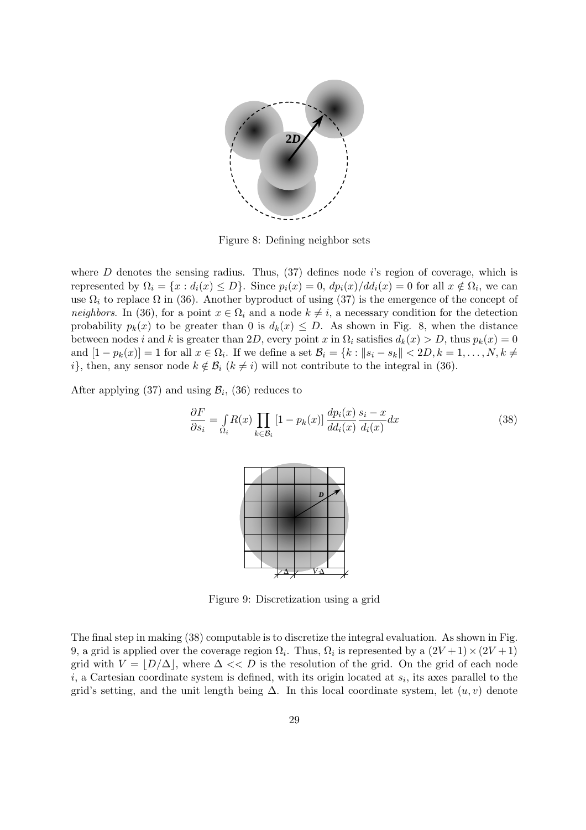

Figure 8: Defining neighbor sets

where D denotes the sensing radius. Thus,  $(37)$  defines node is region of coverage, which is represented by  $\Omega_i = \{x : d_i(x) \leq D\}$ . Since  $p_i(x) = 0$ ,  $dp_i(x)/dd_i(x) = 0$  for all  $x \notin \Omega_i$ , we can use  $\Omega_i$  to replace  $\Omega$  in (36). Another byproduct of using (37) is the emergence of the concept of *neighbors.* In (36), for a point  $x \in \Omega_i$  and a node  $k \neq i$ , a necessary condition for the detection probability  $p_k(x)$  to be greater than 0 is  $d_k(x) \leq D$ . As shown in Fig. 8, when the distance between nodes i and k is greater than 2D, every point x in  $\Omega_i$  satisfies  $d_k(x) > D$ , thus  $p_k(x) = 0$ and  $[1 - p_k(x)] = 1$  for all  $x \in \Omega_i$ . If we define a set  $\mathcal{B}_i = \{k : ||s_i - s_k|| < 2D, k = 1, \ldots, N, k \neq 0\}$ i}, then, any sensor node  $k \notin \mathcal{B}_i$  ( $k \neq i$ ) will not contribute to the integral in (36).

After applying  $(37)$  and using  $\mathcal{B}_i$ ,  $(36)$  reduces to

$$
\frac{\partial F}{\partial s_i} = \int\limits_{\Omega_i} R(x) \prod_{k \in \mathcal{B}_i} \left[1 - p_k(x)\right] \frac{dp_i(x)}{dd_i(x)} \frac{s_i - x}{d_i(x)} dx \tag{38}
$$



Figure 9: Discretization using a grid

The final step in making (38) computable is to discretize the integral evaluation. As shown in Fig. 9, a grid is applied over the coverage region  $\Omega_i$ . Thus,  $\Omega_i$  is represented by a  $(2V+1)\times(2V+1)$ grid with  $V = [D/\Delta]$ , where  $\Delta \ll D$  is the resolution of the grid. On the grid of each node i, a Cartesian coordinate system is defined, with its origin located at  $s_i$ , its axes parallel to the grid's setting, and the unit length being  $\Delta$ . In this local coordinate system, let  $(u, v)$  denote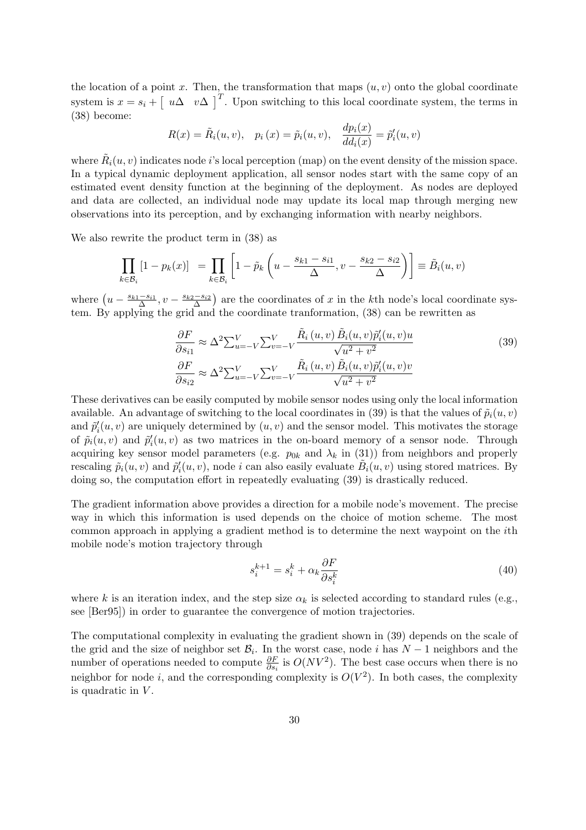the location of a point x. Then, the transformation that maps  $(u, v)$  onto the global coordinate system is  $x = s_i + [\begin{array}{cc} u\Delta & v\Delta \end{array}]^T$ . Upon switching to this local coordinate system, the terms in (38) become:

$$
R(x) = \tilde{R}_i(u, v), \quad p_i(x) = \tilde{p}_i(u, v), \quad \frac{dp_i(x)}{dd_i(x)} = \tilde{p}'_i(u, v)
$$

where  $\tilde{R}_i(u, v)$  indicates node i's local perception (map) on the event density of the mission space. In a typical dynamic deployment application, all sensor nodes start with the same copy of an estimated event density function at the beginning of the deployment. As nodes are deployed and data are collected, an individual node may update its local map through merging new observations into its perception, and by exchanging information with nearby neighbors.

We also rewrite the product term in (38) as

$$
\prod_{k \in \mathcal{B}_i} \left[1 - p_k(x)\right] = \prod_{k \in \mathcal{B}_i} \left[1 - \tilde{p}_k\left(u - \frac{s_{k1} - s_{i1}}{\Delta}, v - \frac{s_{k2} - s_{i2}}{\Delta}\right)\right] \equiv \tilde{B}_i(u, v)
$$

where  $(u - \frac{s_{k1}-s_{i1}}{\Delta}, v - \frac{s_{k2}-s_{i2}}{\Delta})$  are the coordinates of x in the kth node's local coordinate system. By applying the grid and the coordinate tranformation, (38) can be rewritten as

$$
\frac{\partial F}{\partial s_{i1}} \approx \Delta^2 \sum_{u=-V}^{V} \sum_{v=-V}^{V} \frac{\tilde{R}_i(u,v) \tilde{B}_i(u,v) \tilde{p}'_i(u,v) u}{\sqrt{u^2 + v^2}}
$$
\n
$$
\frac{\partial F}{\partial s_{i2}} \approx \Delta^2 \sum_{u=-V}^{V} \sum_{v=-V}^{V} \frac{\tilde{R}_i(u,v) \tilde{B}_i(u,v) \tilde{p}'_i(u,v) v}{\sqrt{u^2 + v^2}}
$$
\n(39)

These derivatives can be easily computed by mobile sensor nodes using only the local information available. An advantage of switching to the local coordinates in (39) is that the values of  $\tilde{p}_i(u, v)$ and  $\tilde{p}'_i(u, v)$  are uniquely determined by  $(u, v)$  and the sensor model. This motivates the storage of  $\tilde{p}_i(u, v)$  and  $\tilde{p}'_i(u, v)$  as two matrices in the on-board memory of a sensor node. Through acquiring key sensor model parameters (e.g.  $p_{0k}$  and  $\lambda_k$  in (31)) from neighbors and properly rescaling  $\tilde{p}_i(u, v)$  and  $\tilde{p}'_i(u, v)$ , node i can also easily evaluate  $\tilde{B}_i(u, v)$  using stored matrices. By doing so, the computation effort in repeatedly evaluating (39) is drastically reduced.

The gradient information above provides a direction for a mobile node's movement. The precise way in which this information is used depends on the choice of motion scheme. The most common approach in applying a gradient method is to determine the next waypoint on the ith mobile node's motion trajectory through

$$
s_i^{k+1} = s_i^k + \alpha_k \frac{\partial F}{\partial s_i^k} \tag{40}
$$

where k is an iteration index, and the step size  $\alpha_k$  is selected according to standard rules (e.g., see [Ber95]) in order to guarantee the convergence of motion trajectories.

The computational complexity in evaluating the gradient shown in (39) depends on the scale of the grid and the size of neighbor set  $\mathcal{B}_i$ . In the worst case, node i has  $N-1$  neighbors and the number of operations needed to compute  $\frac{\partial F}{\partial s_i}$  is  $O(NV^2)$ . The best case occurs when there is no neighbor for node i, and the corresponding complexity is  $O(V^2)$ . In both cases, the complexity is quadratic in  $V$ .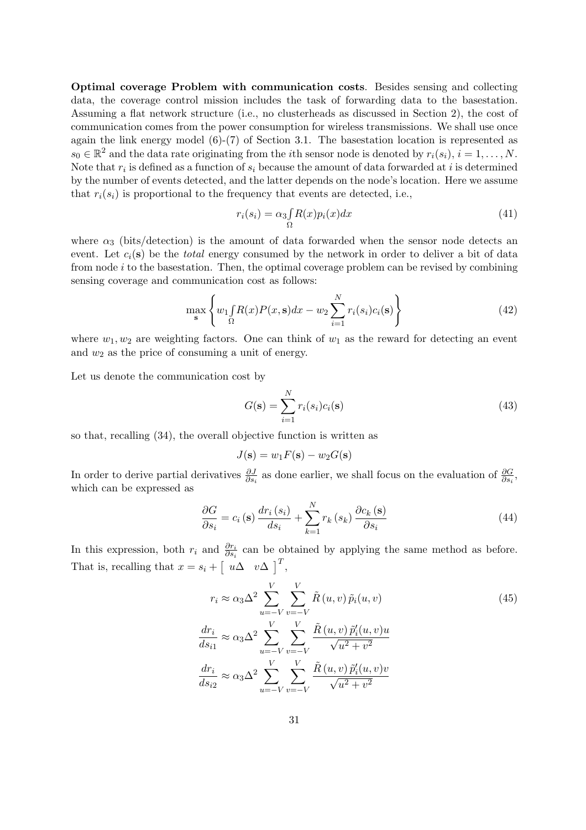**Optimal coverage Problem with communication costs**. Besides sensing and collecting data, the coverage control mission includes the task of forwarding data to the basestation. Assuming a flat network structure (i.e., no clusterheads as discussed in Section 2), the cost of communication comes from the power consumption for wireless transmissions. We shall use once again the link energy model (6)-(7) of Section 3.1. The basestation location is represented as  $s_0 \in \mathbb{R}^2$  and the data rate originating from the *i*th sensor node is denoted by  $r_i(s_i)$ ,  $i = 1, \ldots, N$ . Note that  $r_i$  is defined as a function of  $s_i$  because the amount of data forwarded at i is determined by the number of events detected, and the latter depends on the node's location. Here we assume that  $r_i(s_i)$  is proportional to the frequency that events are detected, i.e.,

$$
r_i(s_i) = \alpha_3 \int_{\Omega} R(x) p_i(x) dx \tag{41}
$$

where  $\alpha_3$  (bits/detection) is the amount of data forwarded when the sensor node detects an event. Let  $c_i(s)$  be the *total* energy consumed by the network in order to deliver a bit of data from node  $i$  to the basestation. Then, the optimal coverage problem can be revised by combining sensing coverage and communication cost as follows:

$$
\max_{\mathbf{s}} \left\{ w_1 \int_{\Omega} R(x) P(x, \mathbf{s}) dx - w_2 \sum_{i=1}^{N} r_i(s_i) c_i(\mathbf{s}) \right\}
$$
(42)

where  $w_1, w_2$  are weighting factors. One can think of  $w_1$  as the reward for detecting an event and  $w_2$  as the price of consuming a unit of energy.

Let us denote the communication cost by

$$
G(\mathbf{s}) = \sum_{i=1}^{N} r_i(s_i) c_i(\mathbf{s})
$$
\n(43)

so that, recalling (34), the overall objective function is written as

$$
J(\mathbf{s}) = w_1 F(\mathbf{s}) - w_2 G(\mathbf{s})
$$

In order to derive partial derivatives  $\frac{\partial J}{\partial s_i}$  as done earlier, we shall focus on the evaluation of  $\frac{\partial G}{\partial s_i}$ , which can be expressed as

$$
\frac{\partial G}{\partial s_i} = c_i \text{ (s) } \frac{dr_i(s_i)}{ds_i} + \sum_{k=1}^{N} r_k \left(s_k\right) \frac{\partial c_k \left(s\right)}{\partial s_i} \tag{44}
$$

In this expression, both  $r_i$  and  $\frac{\partial r_i}{\partial s_i}$  can be obtained by applying the same method as before. That is, recalling that  $x = s_i + [u\Delta v\Delta]^T$ ,

$$
r_i \approx \alpha_3 \Delta^2 \sum_{u=-V}^{V} \sum_{v=-V}^{V} \tilde{R}(u, v) \tilde{p}_i(u, v)
$$
(45)  

$$
\frac{dr_i}{ds_{i1}} \approx \alpha_3 \Delta^2 \sum_{u=-V}^{V} \sum_{v=-V}^{V} \frac{\tilde{R}(u, v) \tilde{p}_i'(u, v)u}{\sqrt{u^2 + v^2}}
$$
  

$$
\frac{dr_i}{ds_{i2}} \approx \alpha_3 \Delta^2 \sum_{u=-V}^{V} \sum_{v=-V}^{V} \frac{\tilde{R}(u, v) \tilde{p}_i'(u, v)v}{\sqrt{u^2 + v^2}}
$$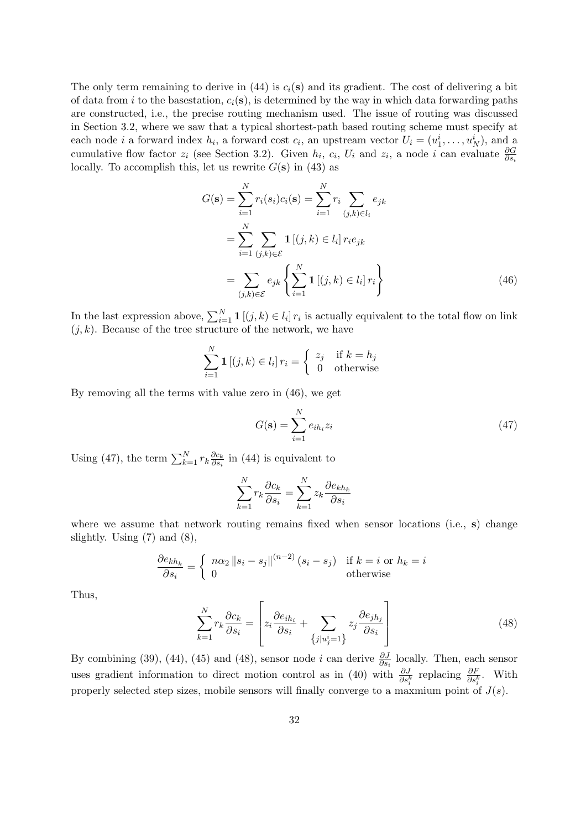The only term remaining to derive in  $(44)$  is  $c_i(\mathbf{s})$  and its gradient. The cost of delivering a bit of data from i to the basestation,  $c_i(\mathbf{s})$ , is determined by the way in which data forwarding paths are constructed, i.e., the precise routing mechanism used. The issue of routing was discussed in Section 3.2, where we saw that a typical shortest-path based routing scheme must specify at each node *i* a forward index  $h_i$ , a forward cost  $c_i$ , an upstream vector  $U_i = (u_1^i, \ldots, u_N^i)$ , and a cumulative flow factor  $z_i$  (see Section 3.2). Given  $h_i$ ,  $c_i$ ,  $U_i$  and  $z_i$ , a node *i* can evaluate  $\frac{\partial G}{\partial s_i}$ locally. To accomplish this, let us rewrite  $G(\mathbf{s})$  in (43) as

$$
G(\mathbf{s}) = \sum_{i=1}^{N} r_i(s_i) c_i(\mathbf{s}) = \sum_{i=1}^{N} r_i \sum_{(j,k) \in l_i} e_{jk}
$$
  
= 
$$
\sum_{i=1}^{N} \sum_{(j,k) \in \mathcal{E}} \mathbf{1} [(j,k) \in l_i] r_i e_{jk}
$$
  
= 
$$
\sum_{(j,k) \in \mathcal{E}} e_{jk} \left\{ \sum_{i=1}^{N} \mathbf{1} [(j,k) \in l_i] r_i \right\}
$$
(46)

In the last expression above,  $\sum_{i=1}^{N} \mathbf{1}[(j,k) \in l_i] r_i$  is actually equivalent to the total flow on link  $(j, k)$ . Because of the tree structure of the network, we have

$$
\sum_{i=1}^{N} \mathbf{1} \left[ (j,k) \in l_i \right] r_i = \begin{cases} z_j & \text{if } k = h_j \\ 0 & \text{otherwise} \end{cases}
$$

By removing all the terms with value zero in (46), we get

$$
G(\mathbf{s}) = \sum_{i=1}^{N} e_{ih_i} z_i
$$
\n
$$
(47)
$$

Using (47), the term  $\sum_{k=1}^{N} r_k \frac{\partial c_k}{\partial s_i}$  in (44) is equivalent to

$$
\sum_{k=1}^{N} r_k \frac{\partial c_k}{\partial s_i} = \sum_{k=1}^{N} z_k \frac{\partial e_{kh_k}}{\partial s_i}
$$

where we assume that network routing remains fixed when sensor locations (i.e., **s**) change slightly. Using (7) and (8),

$$
\frac{\partial e_{kh_k}}{\partial s_i} = \begin{cases} n\alpha_2 \left\| s_i - s_j \right\} \right|^{(n-2)} (s_i - s_j) & \text{if } k = i \text{ or } h_k = i\\ 0 & \text{otherwise} \end{cases}
$$

Thus,

$$
\sum_{k=1}^{N} r_k \frac{\partial c_k}{\partial s_i} = \left[ z_i \frac{\partial e_{ih_i}}{\partial s_i} + \sum_{\{j | u_j^i = 1\}} z_j \frac{\partial e_{jh_j}}{\partial s_i} \right]
$$
(48)

By combining (39), (44), (45) and (48), sensor node *i* can derive  $\frac{\partial J}{\partial s_i}$  locally. Then, each sensor uses gradient information to direct motion control as in (40) with  $\frac{\partial J}{\partial s_i^k}$  replacing  $\frac{\partial F}{\partial s_i^k}$ . With properly selected step sizes, mobile sensors will finally converge to a maxmium point of  $J(s)$ .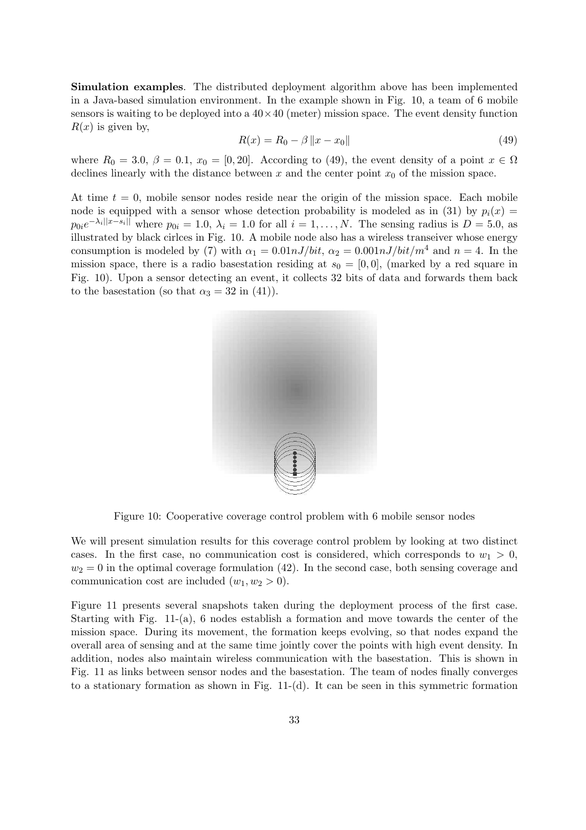**Simulation examples**. The distributed deployment algorithm above has been implemented in a Java-based simulation environment. In the example shown in Fig. 10, a team of 6 mobile sensors is waiting to be deployed into a  $40\times40$  (meter) mission space. The event density function  $R(x)$  is given by,

$$
R(x) = R_0 - \beta \|x - x_0\| \tag{49}
$$

where  $R_0 = 3.0, \beta = 0.1, x_0 = [0, 20]$ . According to (49), the event density of a point  $x \in \Omega$ declines linearly with the distance between x and the center point  $x_0$  of the mission space.

At time  $t = 0$ , mobile sensor nodes reside near the origin of the mission space. Each mobile node is equipped with a sensor whose detection probability is modeled as in (31) by  $p_i(x) =$  $p_{0i}e^{-\lambda_i||x-s_i||}$  where  $p_{0i} = 1.0$ ,  $\lambda_i = 1.0$  for all  $i = 1, ..., N$ . The sensing radius is  $D = 5.0$ , as illustrated by black cirlces in Fig. 10. A mobile node also has a wireless transeiver whose energy consumption is modeled by (7) with  $\alpha_1 = 0.01nJ/bit$ ,  $\alpha_2 = 0.001nJ/bit/m^4$  and  $n = 4$ . In the mission space, there is a radio basestation residing at  $s_0 = [0, 0]$ , (marked by a red square in Fig. 10). Upon a sensor detecting an event, it collects 32 bits of data and forwards them back to the basestation (so that  $\alpha_3 = 32$  in (41)).



Figure 10: Cooperative coverage control problem with 6 mobile sensor nodes

We will present simulation results for this coverage control problem by looking at two distinct cases. In the first case, no communication cost is considered, which corresponds to  $w_1 > 0$ ,  $w_2 = 0$  in the optimal coverage formulation (42). In the second case, both sensing coverage and communication cost are included  $(w_1, w_2 > 0)$ .

Figure 11 presents several snapshots taken during the deployment process of the first case. Starting with Fig. 11-(a), 6 nodes establish a formation and move towards the center of the mission space. During its movement, the formation keeps evolving, so that nodes expand the overall area of sensing and at the same time jointly cover the points with high event density. In addition, nodes also maintain wireless communication with the basestation. This is shown in Fig. 11 as links between sensor nodes and the basestation. The team of nodes finally converges to a stationary formation as shown in Fig. 11-(d). It can be seen in this symmetric formation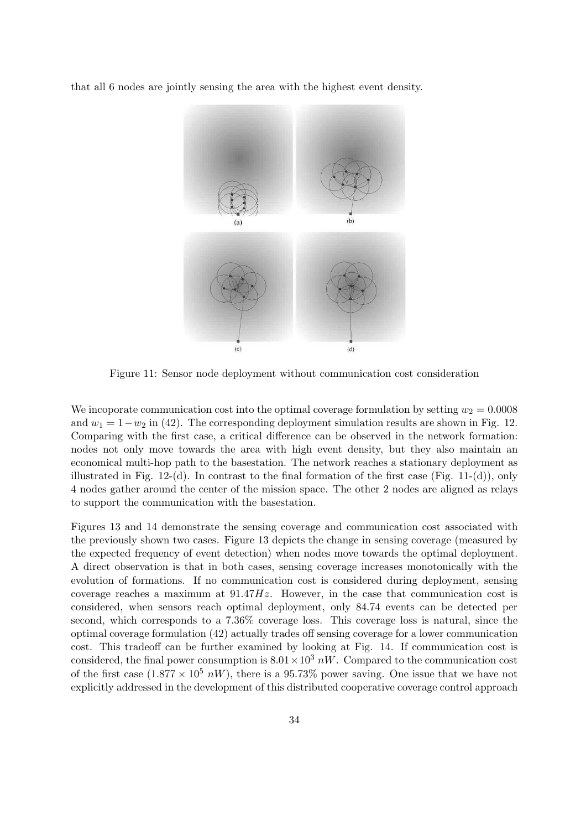that all 6 nodes are jointly sensing the area with the highest event density.



Figure 11: Sensor node deployment without communication cost consideration

We incoporate communication cost into the optimal coverage formulation by setting  $w_2 = 0.0008$ and  $w_1 = 1 - w_2$  in (42). The corresponding deployment simulation results are shown in Fig. 12. Comparing with the first case, a critical difference can be observed in the network formation: nodes not only move towards the area with high event density, but they also maintain an economical multi-hop path to the basestation. The network reaches a stationary deployment as illustrated in Fig. 12-(d). In contrast to the final formation of the first case (Fig. 11-(d)), only 4 nodes gather around the center of the mission space. The other 2 nodes are aligned as relays to support the communication with the basestation.

Figures 13 and 14 demonstrate the sensing coverage and communication cost associated with the previously shown two cases. Figure 13 depicts the change in sensing coverage (measured by the expected frequency of event detection) when nodes move towards the optimal deployment. A direct observation is that in both cases, sensing coverage increases monotonically with the evolution of formations. If no communication cost is considered during deployment, sensing coverage reaches a maximum at  $91.47Hz$ . However, in the case that communication cost is considered, when sensors reach optimal deployment, only 84.74 events can be detected per second, which corresponds to a 7.36% coverage loss. This coverage loss is natural, since the optimal coverage formulation (42) actually trades off sensing coverage for a lower communication cost. This tradeoff can be further examined by looking at Fig. 14. If communication cost is considered, the final power consumption is  $8.01 \times 10^3$  nW. Compared to the communication cost of the first case  $(1.877 \times 10^5 \text{ nW})$ , there is a 95.73% power saving. One issue that we have not explicitly addressed in the development of this distributed cooperative coverage control approach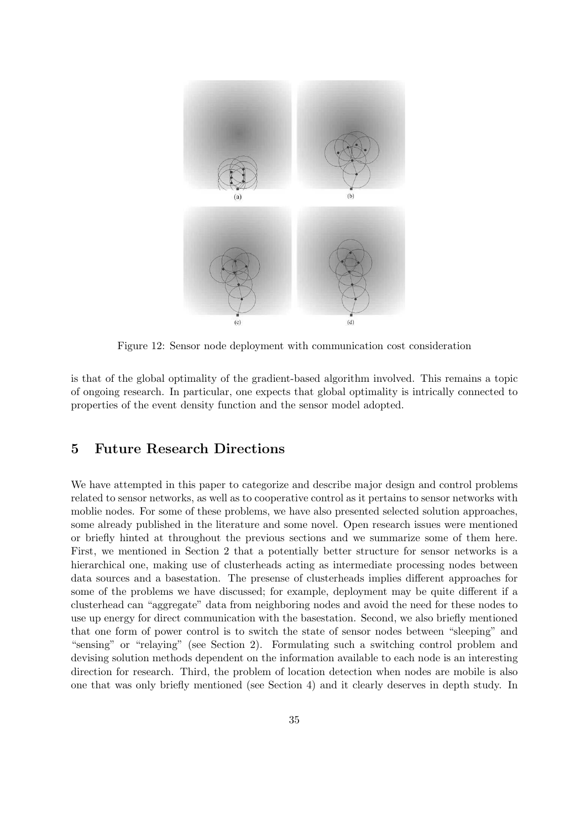

Figure 12: Sensor node deployment with communication cost consideration

is that of the global optimality of the gradient-based algorithm involved. This remains a topic of ongoing research. In particular, one expects that global optimality is intrically connected to properties of the event density function and the sensor model adopted.

## **5 Future Research Directions**

We have attempted in this paper to categorize and describe major design and control problems related to sensor networks, as well as to cooperative control as it pertains to sensor networks with moblie nodes. For some of these problems, we have also presented selected solution approaches, some already published in the literature and some novel. Open research issues were mentioned or briefly hinted at throughout the previous sections and we summarize some of them here. First, we mentioned in Section 2 that a potentially better structure for sensor networks is a hierarchical one, making use of clusterheads acting as intermediate processing nodes between data sources and a basestation. The presense of clusterheads implies different approaches for some of the problems we have discussed; for example, deployment may be quite different if a clusterhead can "aggregate" data from neighboring nodes and avoid the need for these nodes to use up energy for direct communication with the basestation. Second, we also briefly mentioned that one form of power control is to switch the state of sensor nodes between "sleeping" and "sensing" or "relaying" (see Section 2). Formulating such a switching control problem and devising solution methods dependent on the information available to each node is an interesting direction for research. Third, the problem of location detection when nodes are mobile is also one that was only briefly mentioned (see Section 4) and it clearly deserves in depth study. In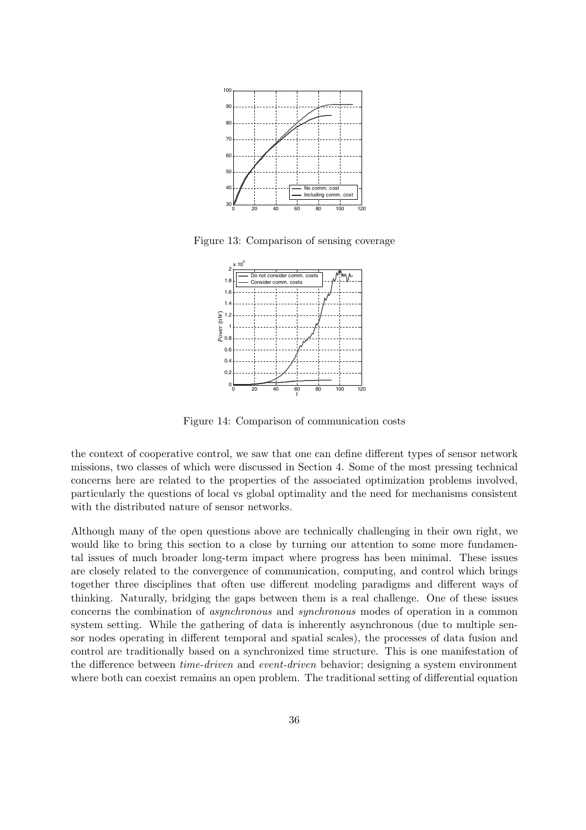

Figure 13: Comparison of sensing coverage



Figure 14: Comparison of communication costs

the context of cooperative control, we saw that one can define different types of sensor network missions, two classes of which were discussed in Section 4. Some of the most pressing technical concerns here are related to the properties of the associated optimization problems involved, particularly the questions of local vs global optimality and the need for mechanisms consistent with the distributed nature of sensor networks.

Although many of the open questions above are technically challenging in their own right, we would like to bring this section to a close by turning our attention to some more fundamental issues of much broader long-term impact where progress has been minimal. These issues are closely related to the convergence of communication, computing, and control which brings together three disciplines that often use different modeling paradigms and different ways of thinking. Naturally, bridging the gaps between them is a real challenge. One of these issues concerns the combination of asynchronous and synchronous modes of operation in a common system setting. While the gathering of data is inherently asynchronous (due to multiple sensor nodes operating in different temporal and spatial scales), the processes of data fusion and control are traditionally based on a synchronized time structure. This is one manifestation of the difference between time-driven and event-driven behavior; designing a system environment where both can coexist remains an open problem. The traditional setting of differential equation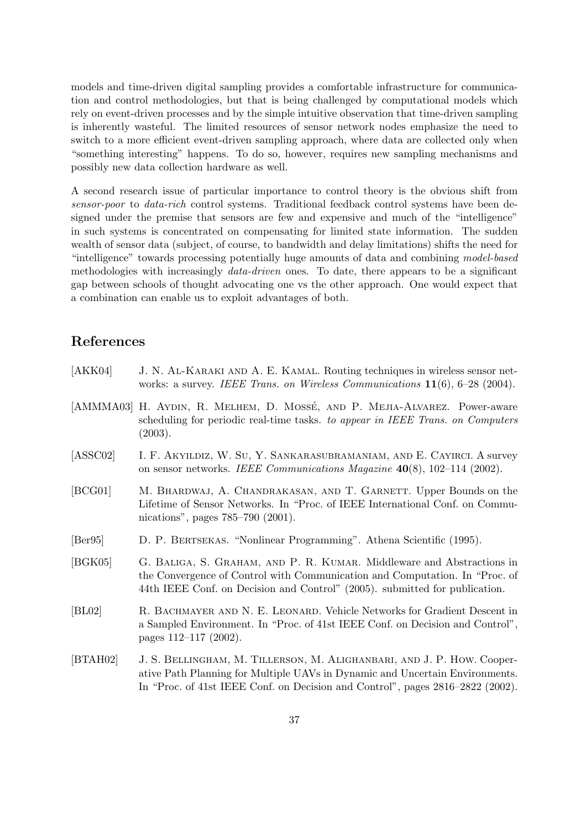models and time-driven digital sampling provides a comfortable infrastructure for communication and control methodologies, but that is being challenged by computational models which rely on event-driven processes and by the simple intuitive observation that time-driven sampling is inherently wasteful. The limited resources of sensor network nodes emphasize the need to switch to a more efficient event-driven sampling approach, where data are collected only when "something interesting" happens. To do so, however, requires new sampling mechanisms and possibly new data collection hardware as well.

A second research issue of particular importance to control theory is the obvious shift from sensor-poor to data-rich control systems. Traditional feedback control systems have been designed under the premise that sensors are few and expensive and much of the "intelligence" in such systems is concentrated on compensating for limited state information. The sudden wealth of sensor data (subject, of course, to bandwidth and delay limitations) shifts the need for "intelligence" towards processing potentially huge amounts of data and combining model-based methodologies with increasingly data-driven ones. To date, there appears to be a significant gap between schools of thought advocating one vs the other approach. One would expect that a combination can enable us to exploit advantages of both.

## **References**

[AKK04] J. N. Al-Karaki and A. E. Kamal. Routing techniques in wireless sensor networks: a survey. IEEE Trans. on Wireless Communications **11**(6), 6–28 (2004). [AMMMA03] H. AYDIN, R. MELHEM, D. MOSSÉ, AND P. MEJIA-ALVAREZ. Power-aware scheduling for periodic real-time tasks. to appear in IEEE Trans. on Computers (2003). [ASSC02] I. F. Akyildiz, W. Su, Y. Sankarasubramaniam, and E. Cayirci. A survey on sensor networks. IEEE Communications Magazine **40**(8), 102–114 (2002). [BCG01] M. BHARDWAJ, A. CHANDRAKASAN, AND T. GARNETT. Upper Bounds on the Lifetime of Sensor Networks. In "Proc. of IEEE International Conf. on Communications", pages 785–790 (2001). [Ber95] D. P. Bertsekas. "Nonlinear Programming". Athena Scientific (1995). [BGK05] G. BALIGA, S. GRAHAM, AND P. R. KUMAR. Middleware and Abstractions in the Convergence of Control with Communication and Computation. In "Proc. of 44th IEEE Conf. on Decision and Control" (2005). submitted for publication. [BL02] R. Bachmayer and N. E. Leonard. Vehicle Networks for Gradient Descent in a Sampled Environment. In "Proc. of 41st IEEE Conf. on Decision and Control", pages 112–117 (2002). [BTAH02] J. S. Bellingham, M. Tillerson, M. Alighanbari, and J. P. How. Cooperative Path Planning for Multiple UAVs in Dynamic and Uncertain Environments. In "Proc. of 41st IEEE Conf. on Decision and Control", pages 2816–2822 (2002).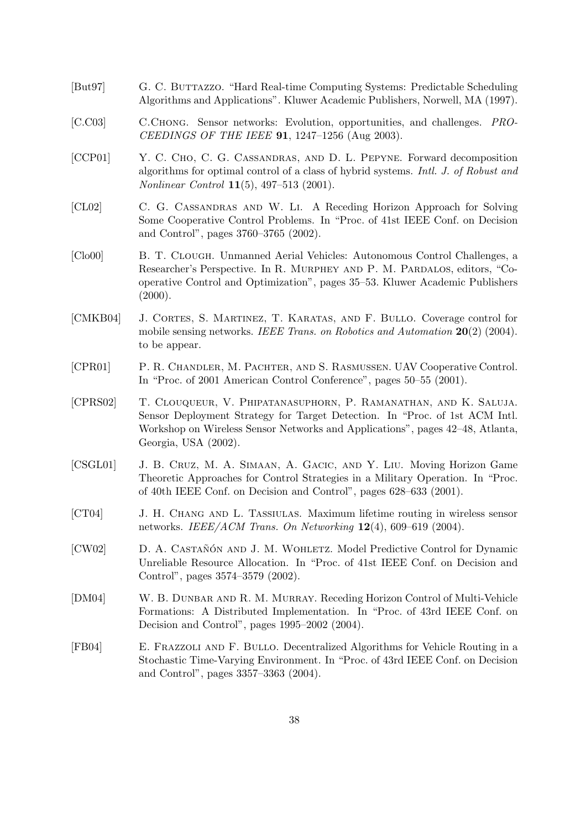[But97] G. C. Buttazzo. "Hard Real-time Computing Systems: Predictable Scheduling Algorithms and Applications". Kluwer Academic Publishers, Norwell, MA (1997). [C.C03] C.Chong. Sensor networks: Evolution, opportunities, and challenges. PRO-CEEDINGS OF THE IEEE **91**, 1247–1256 (Aug 2003). [CCP01] Y. C. Cho, C. G. Cassandras, and D. L. Pepyne. Forward decomposition algorithms for optimal control of a class of hybrid systems. Intl. J. of Robust and Nonlinear Control **11**(5), 497–513 (2001). [CL02] C. G. CASSANDRAS AND W. LI. A Receding Horizon Approach for Solving Some Cooperative Control Problems. In "Proc. of 41st IEEE Conf. on Decision and Control", pages 3760–3765 (2002). [Clo00] B. T. Clough. Unmanned Aerial Vehicles: Autonomous Control Challenges, a Researcher's Perspective. In R. Murphey and P. M. Pardalos, editors, "Cooperative Control and Optimization", pages 35–53. Kluwer Academic Publishers (2000). [CMKB04] J. Cortes, S. Martinez, T. Karatas, and F. Bullo. Coverage control for mobile sensing networks. IEEE Trans. on Robotics and Automation **20**(2) (2004). to be appear. [CPR01] P. R. Chandler, M. Pachter, and S. Rasmussen. UAV Cooperative Control. In "Proc. of 2001 American Control Conference", pages 50–55 (2001). [CPRS02] T. Clouqueur, V. Phipatanasuphorn, P. Ramanathan, and K. Saluja. Sensor Deployment Strategy for Target Detection. In "Proc. of 1st ACM Intl. Workshop on Wireless Sensor Networks and Applications", pages 42–48, Atlanta, Georgia, USA (2002). [CSGL01] J. B. Cruz, M. A. Simaan, A. Gacic, and Y. Liu. Moving Horizon Game Theoretic Approaches for Control Strategies in a Military Operation. In "Proc. of 40th IEEE Conf. on Decision and Control", pages 628–633 (2001). [CT04] J. H. Chang and L. Tassiulas. Maximum lifetime routing in wireless sensor networks. IEEE/ACM Trans. On Networking **12**(4), 609–619 (2004). [CW02] D. A. CASTAÑÓN AND J. M. WOHLETZ. Model Predictive Control for Dynamic Unreliable Resource Allocation. In "Proc. of 41st IEEE Conf. on Decision and Control", pages 3574–3579 (2002). [DM04] W. B. Dunbar and R. M. Murray. Receding Horizon Control of Multi-Vehicle Formations: A Distributed Implementation. In "Proc. of 43rd IEEE Conf. on Decision and Control", pages 1995–2002 (2004). [FB04] E. Frazzoli and F. Bullo. Decentralized Algorithms for Vehicle Routing in a Stochastic Time-Varying Environment. In "Proc. of 43rd IEEE Conf. on Decision and Control", pages 3357–3363 (2004). 38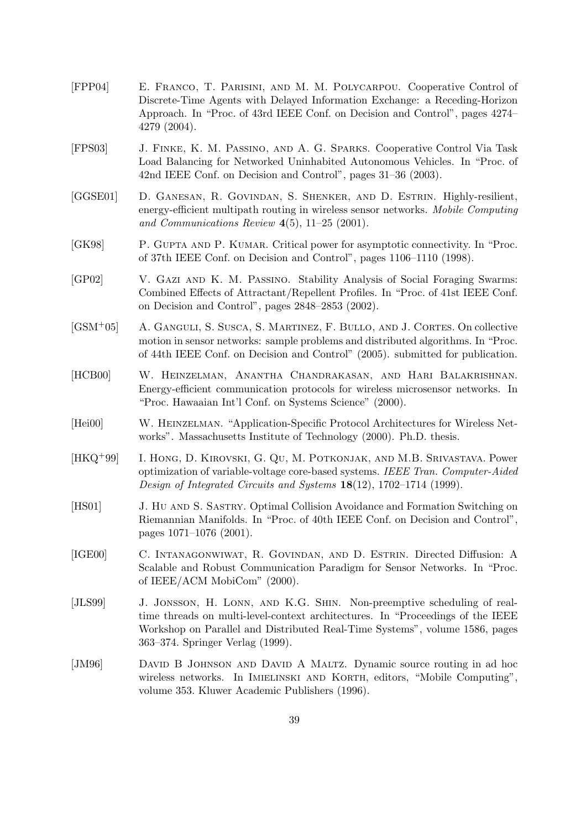[FPP04] E. Franco, T. Parisini, and M. M. Polycarpou. Cooperative Control of Discrete-Time Agents with Delayed Information Exchange: a Receding-Horizon Approach. In "Proc. of 43rd IEEE Conf. on Decision and Control", pages 4274– 4279 (2004). [FPS03] J. Finke, K. M. Passino, and A. G. Sparks. Cooperative Control Via Task Load Balancing for Networked Uninhabited Autonomous Vehicles. In "Proc. of 42nd IEEE Conf. on Decision and Control", pages 31–36 (2003). [GGSE01] D. Ganesan, R. Govindan, S. Shenker, and D. Estrin. Highly-resilient, energy-efficient multipath routing in wireless sensor networks. Mobile Computing and Communications Review **4**(5), 11–25 (2001). [GK98] P. GUPTA AND P. KUMAR. Critical power for asymptotic connectivity. In "Proc. of 37th IEEE Conf. on Decision and Control", pages 1106–1110 (1998). [GP02] V. Gazi and K. M. Passino. Stability Analysis of Social Foraging Swarms: Combined Effects of Attractant/Repellent Profiles. In "Proc. of 41st IEEE Conf. on Decision and Control", pages 2848–2853 (2002). [GSM+05] A. Ganguli, S. Susca, S. Martinez, F. Bullo, and J. Cortes. On collective motion in sensor networks: sample problems and distributed algorithms. In "Proc. of 44th IEEE Conf. on Decision and Control" (2005). submitted for publication. [HCB00] W. Heinzelman, Anantha Chandrakasan, and Hari Balakrishnan. Energy-efficient communication protocols for wireless microsensor networks. In "Proc. Hawaaian Int'l Conf. on Systems Science" (2000). [Hei00] W. Heinzelman. "Application-Specific Protocol Architectures for Wireless Networks". Massachusetts Institute of Technology (2000). Ph.D. thesis. [HKQ+99] I. Hong, D. Kirovski, G. Qu, M. Potkonjak, and M.B. Srivastava. Power optimization of variable-voltage core-based systems. IEEE Tran. Computer-Aided Design of Integrated Circuits and Systems **18**(12), 1702–1714 (1999). [HS01] J. HU AND S. SASTRY. Optimal Collision Avoidance and Formation Switching on Riemannian Manifolds. In "Proc. of 40th IEEE Conf. on Decision and Control", pages 1071–1076 (2001). [IGE00] C. Intanagonwiwat, R. Govindan, and D. Estrin. Directed Diffusion: A Scalable and Robust Communication Paradigm for Sensor Networks. In "Proc. of IEEE/ACM MobiCom" (2000). [JLS99] J. Jonsson, H. Lonn, and K.G. Shin. Non-preemptive scheduling of realtime threads on multi-level-context architectures. In "Proceedings of the IEEE Workshop on Parallel and Distributed Real-Time Systems", volume 1586, pages 363–374. Springer Verlag (1999). [JM96] DAVID B JOHNSON AND DAVID A MALTZ. Dynamic source routing in ad hoc wireless networks. In IMIELINSKI AND KORTH, editors, "Mobile Computing", volume 353. Kluwer Academic Publishers (1996).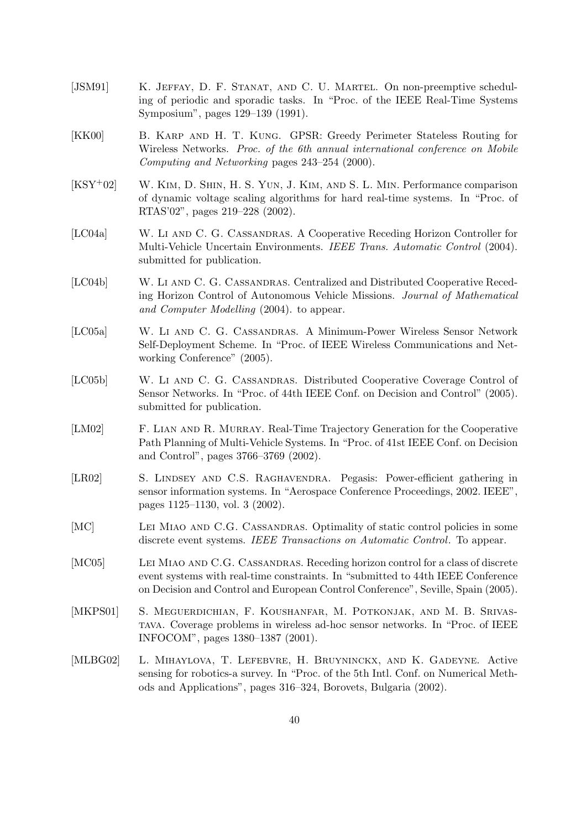[JSM91] K. Jeffay, D. F. Stanat, and C. U. Martel. On non-preemptive scheduling of periodic and sporadic tasks. In "Proc. of the IEEE Real-Time Systems Symposium", pages 129–139 (1991). [KK00] B. Karp and H. T. Kung. GPSR: Greedy Perimeter Stateless Routing for Wireless Networks. Proc. of the 6th annual international conference on Mobile Computing and Networking pages 243–254 (2000). [KSY+02] W. Kim, D. Shin, H. S. Yun, J. Kim, and S. L. Min. Performance comparison of dynamic voltage scaling algorithms for hard real-time systems. In "Proc. of RTAS'02", pages 219–228 (2002). [LC04a] W. Li and C. G. Cassandras. A Cooperative Receding Horizon Controller for Multi-Vehicle Uncertain Environments. IEEE Trans. Automatic Control (2004). submitted for publication. [LC04b] W. Li AND C. G. CASSANDRAS. Centralized and Distributed Cooperative Receding Horizon Control of Autonomous Vehicle Missions. Journal of Mathematical and Computer Modelling (2004). to appear. [LC05a] W. Li and C. G. Cassandras. A Minimum-Power Wireless Sensor Network Self-Deployment Scheme. In "Proc. of IEEE Wireless Communications and Networking Conference" (2005). [LC05b] W. Li and C. G. Cassandras. Distributed Cooperative Coverage Control of Sensor Networks. In "Proc. of 44th IEEE Conf. on Decision and Control" (2005). submitted for publication. [LM02] F. LIAN AND R. MURRAY. Real-Time Trajectory Generation for the Cooperative Path Planning of Multi-Vehicle Systems. In "Proc. of 41st IEEE Conf. on Decision and Control", pages 3766–3769 (2002). [LR02] S. LINDSEY AND C.S. RAGHAVENDRA. Pegasis: Power-efficient gathering in sensor information systems. In "Aerospace Conference Proceedings, 2002. IEEE", pages 1125–1130, vol. 3 (2002). [MC] LEI MIAO AND C.G. CASSANDRAS. Optimality of static control policies in some discrete event systems. IEEE Transactions on Automatic Control. To appear. [MC05] Lei Miao and C.G. Cassandras. Receding horizon control for a class of discrete event systems with real-time constraints. In "submitted to 44th IEEE Conference on Decision and Control and European Control Conference", Seville, Spain (2005). [MKPS01] S. MEGUERDICHIAN, F. KOUSHANFAR, M. POTKONJAK, AND M. B. SRIVAStava. Coverage problems in wireless ad-hoc sensor networks. In "Proc. of IEEE INFOCOM", pages 1380–1387 (2001). [MLBG02] L. Mihaylova, T. Lefebvre, H. Bruyninckx, and K. Gadeyne. Active sensing for robotics-a survey. In "Proc. of the 5th Intl. Conf. on Numerical Methods and Applications", pages 316–324, Borovets, Bulgaria (2002).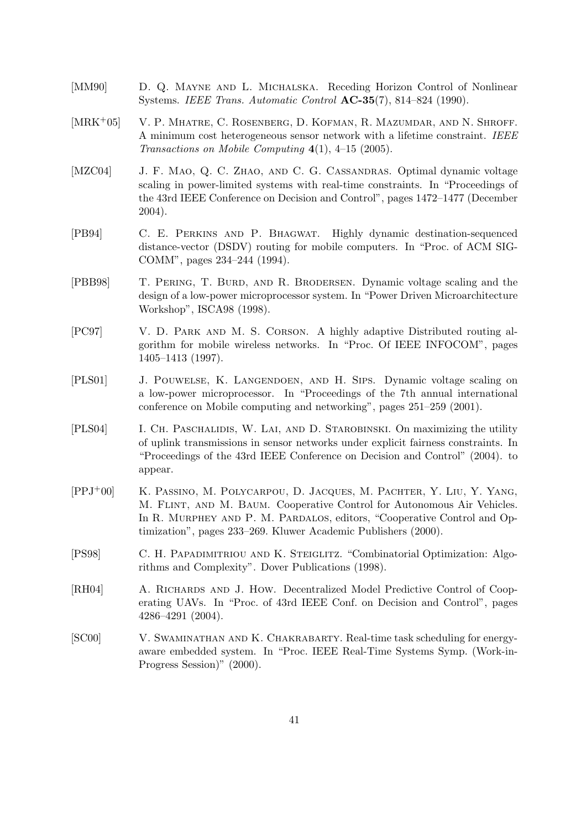- [MM90] D. Q. Mayne and L. Michalska. Receding Horizon Control of Nonlinear Systems. IEEE Trans. Automatic Control **AC-35**(7), 814–824 (1990).
- [MRK<sup>+</sup>05] V. P. MHATRE, C. ROSENBERG, D. KOFMAN, R. MAZUMDAR, AND N. SHROFF. A minimum cost heterogeneous sensor network with a lifetime constraint. IEEE Transactions on Mobile Computing **4**(1), 4–15 (2005).
- [MZC04] J. F. MAO, Q. C. ZHAO, AND C. G. CASSANDRAS. Optimal dynamic voltage scaling in power-limited systems with real-time constraints. In "Proceedings of the 43rd IEEE Conference on Decision and Control", pages 1472–1477 (December 2004).
- [PB94] C. E. Perkins and P. Bhagwat. Highly dynamic destination-sequenced distance-vector (DSDV) routing for mobile computers. In "Proc. of ACM SIG-COMM", pages 234–244 (1994).
- [PBB98] T. Pering, T. Burd, and R. Brodersen. Dynamic voltage scaling and the design of a low-power microprocessor system. In "Power Driven Microarchitecture Workshop", ISCA98 (1998).
- [PC97] V. D. Park and M. S. Corson. A highly adaptive Distributed routing algorithm for mobile wireless networks. In "Proc. Of IEEE INFOCOM", pages 1405–1413 (1997).
- [PLS01] J. Pouwelse, K. Langendoen, and H. Sips. Dynamic voltage scaling on a low-power microprocessor. In "Proceedings of the 7th annual international conference on Mobile computing and networking", pages 251–259 (2001).
- [PLS04] I. Ch. Paschalidis, W. Lai, and D. Starobinski. On maximizing the utility of uplink transmissions in sensor networks under explicit fairness constraints. In "Proceedings of the 43rd IEEE Conference on Decision and Control" (2004). to appear.
- [PPJ+00] K. Passino, M. Polycarpou, D. Jacques, M. Pachter, Y. Liu, Y. Yang, M. Flint, and M. Baum. Cooperative Control for Autonomous Air Vehicles. In R. Murphey and P. M. Pardalos, editors, "Cooperative Control and Optimization", pages 233–269. Kluwer Academic Publishers (2000).
- [PS98] C. H. Papadimitriou and K. Steiglitz. "Combinatorial Optimization: Algorithms and Complexity". Dover Publications (1998).
- [RH04] A. Richards and J. How. Decentralized Model Predictive Control of Cooperating UAVs. In "Proc. of 43rd IEEE Conf. on Decision and Control", pages 4286–4291 (2004).
- [SC00] V. Swaminathan and K. Chakrabarty. Real-time task scheduling for energyaware embedded system. In "Proc. IEEE Real-Time Systems Symp. (Work-in-Progress Session)" (2000).